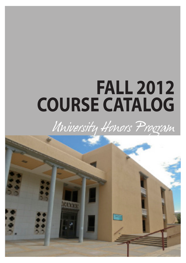# **FALL 2012 COURSE CATALOG**

# *University Honors Program*

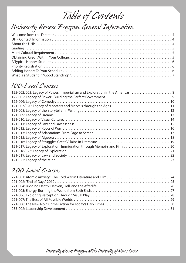*Table of Contents*

# *University Honors Program General Information*

# *100-Level Courses*

| 122-002/003: Legacy of Power: Imperialism and Exploration in the Americas 8 |
|-----------------------------------------------------------------------------|
|                                                                             |
|                                                                             |
|                                                                             |
|                                                                             |
|                                                                             |
|                                                                             |
|                                                                             |
|                                                                             |
|                                                                             |
|                                                                             |
|                                                                             |
|                                                                             |
|                                                                             |
|                                                                             |
|                                                                             |

# *200-Level Courses*

*University Honors Program at The University of New Mexico*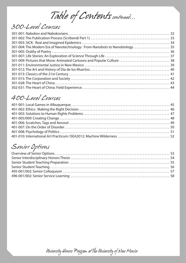*Table of Contents continued...*

# *300-Level Courses*

| 301-004: The Modern Era of Nanotechnology: From Nanobots to Nanobiology 35 |  |
|----------------------------------------------------------------------------|--|
|                                                                            |  |
|                                                                            |  |
|                                                                            |  |
|                                                                            |  |
|                                                                            |  |
|                                                                            |  |
|                                                                            |  |
|                                                                            |  |
|                                                                            |  |

# *400-Level Courses*

# *Senior Options*

*University Honors Program at The University of New Mexico*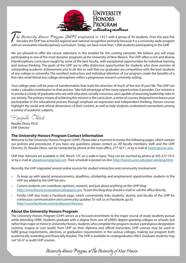

*Inte University Honors Program (UHP)* originated in 1957 with a group of 30 students. Over the past five decades the UHP has achieved regional and national recognition primarily because it is a university-wide program wit decades the UHP has achieved regional and national recognition primarily because it is a university-wide program with an innovative interdisciplinary curriculum. Today, we have more than 1,000 students participating in the UHP.

We are pleased to offer the course selections in this booklet for the coming semester. We believe you will enjoy participating in one of the most dynamic programs at the University of New Mexico. The UHP offers a rich and diverse interdisciplinary curriculum taught by some of the best faculty, with exceptional opportunities for individual learning and serious thinking. The goals of the UHP are to offer distinctive opportunities for students who show promise of outstanding academic achievement and to do this so well that our graduates are competitive with the best students of any college or university. The excellent instruction and individual attention of our program create the benefits of a first-rate, small liberal arts college atmosphere within a progressive research university setting.

Your college years will be years of transformation that mark the direction of much of the rest of your life. The UHP can make a valuable contribution to that process. Take full advantage of the many opportunities it provides. Our mission is to produce a body of graduates who are well-educated, socially conscious, and capable of assuming leadership roles in our society. The primary means of achieving this mission is the curriculum, a series of courses designed to enhance your participation in the educational process through emphasis on expression and independent thinking. Honors courses highlight the social and ethical dimensions of their content, as well as help students understand connections among a variety of academic subjects.

Rosalie Otero

Rosalie Otero, Ph.D. UHP Director

#### **The University Honors Program Contact Information**

Welcome to the University Honors Program (UHP). Please take a moment to review the following pages, which contain our policies and procedures. If you have any questions, please contact us. All faculty members, staff, and the UHP Director, Dr. Rosalie Otero, can be contacted by phone at the main office, 277-4211, or by e-mail at honors@unm.edu.

UHP Peer Advisors are available in SHC Room 17C on a walk-in basis. They can be reached by phone at 505-277-7415 or by e-mail at uhpadvisors@gmail.com. Their schedule is posted on-line: http://honors.unm.edu/peer-advising.html.

Recently, the UHP originated several online sources for student interaction and community involvement:

- • To keep up with special announcements, deadlines, scholarship and employment opportunities, students in the UHP are added to the UHP list-serv.
- Current students can contribute opinions, research, and just about anything on the UHP blog: http://www.forumconversations.blogspot.com. To join the blog they should e-mail or call the office directly.
- Finally, UHP also hosts a Facebook page, which conveniently links students, alumni, and faculty of the UHP for continuous communication and community updates. To visit us on Facebook, go to http://www.facebook.com/dudleywynnhonors.

#### **About the University Honors Program**

The University Honors Program (UHP) serves as a focused enrichment to the major course of study students pursue while attending UNM. Students graduate with a degree from one of UNM's degree-granting colleges or schools, but rather than major or minor in University Honors, students who complete the program receive a prestigious designation (summa, magna or cum laude) from UHP on their diploma and official transcripts. UHP courses may be used to fulfill group requirements, electives, or graduation requirements in the various colleges, making our program both academically rewarding and financially feasible. The UHP is available to undergraduates ONLY. Graduate students may not "sit in" or audit UHP courses.

*University Honors Program at The University of New Mexico*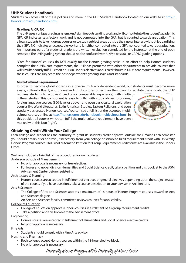#### **UHP Student Handbook**

Students can access all of these policies and more in the UHP Student Handbook located on our website at http:// honors.unm.edu/handbook.html.

#### **Grading: A, CR, NC**

The UHP uses a unique grading system. An A signifies outstanding work and will compute into the student's academic GPA. CR indicates satisfactory work and is not computed into the GPA, but is counted towards graduation. This allows students to take rigorous courses or to study subject areas outside their usual interest without jeopardizing their GPA. NC indicates unacceptable work and is neither computed into the GPA, nor counted towards graduation. An important part of a student's grade is the written evaluation completed by the instructor at the end of each semester. The UHP grading system should not be confused with UNM's pass/fail or CR/NC grading options.

"Core for Honors" courses do NOT qualify for the Honors grading scale. In an effort to help Honors students complete their UNM core requirements, the UHP has partnered with other departments to provide courses that will simultaneously fulfill 3 credit hours in Honors electives and 3 credit hours in UNM core requirements. However, these courses are subject to the host department's grading scales and standards.

#### **Multi-Cultural Requirement**

In order to become global citizens in a diverse, mutually dependent world, our students must become more aware, culturally fluent, and understanding of cultures other than their own. To facilitate these goals, the UHP

requires students to acquire 6 credits (or comparable experience) with multicultural studies. This component is easy to fulfill with study abroad programs, foreign language courses (300-level or above), and even basic cultural exploration courses like World Literatures, Latin American Studies, Eastern Religions, and even specially designated Honors courses. You can see a full list of the accepted multicultural courses online at http://honors.unm.edu/handbook-multicultural.html. In this booklet, all courses which can fulfill the multi-cultural requirement have been marked with this icon (right).



#### **Obtaining Credit Within Your College**

Each college and school has the authority to grant its students credit approval outside their major. Each semester you should obtain prior approval, if necessary, from your college or school to fulfill requirement credit with University Honors Program courses. This is not automatic. Petition for Group Requirement Credit forms are available in the Honors Office.

We have included a brief list of the procedures for each college:

Anderson Schools of Management

- No prior approval is necessary for free electives.
- • For lower and upper division Humanities and Social Science credit, take a petition and this booklet to the ASM Advisement Center before registering.

Architecture & Planning

• Honors courses are accepted in fulfillment of electives or general electives depending upon the subject matter of the course. If you have questions, take a course description to your advisor in Architecture.

#### Arts & Sciences

- The College of Arts and Sciences accepts a maximum of 18 hours of Honors Program courses toward an Arts and Sciences degree.
- • An Arts and Sciences faculty committee reviews courses for applicability.

#### College of Education

- • College of Education approves Honors courses in fulfillment of its group requirement credits.
- Take a petition and this booklet to the advisement office.
- Engineering
	- Honors courses are accepted in fulfillment of Humanities and Social Science elective credits.
	- No prior approval is necessary.

Fine Arts

• Students should consult with a Fine Arts advisor

#### Nursing and Pharmacy

- Both colleges accept Honors courses within the 18-hour elective block.
- No prior approval is necessary.

*University Honors Program at The University of New Mexico*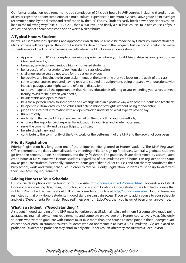Our formal graduation requirements include completion of 24 credit hours in UHP courses, including 6 credit hours of senior capstone option; completion of a multi-cultural experience; a minimum 3.2 cumulative grade point average; recommendation by the director and certification by the UHP Faculty. Students easily break down their Honors course load in the following way: Take a 100, a 200, then a 300-level, and finally a 400-level course; take two courses of your choice; and select a senior capstone option worth 6 credit hours.

#### **A Typical Honors Student**

Below is a list of attitudes, qualities, and approaches which should always be modeled by University Honors students. Many of these will be acquired throughout a student's development in the Program, but we find it is helpful to make students aware of the kind of excellence we cultivate in the UHP. Honors students should:

- • Approach the UHP as a complete learning experience, where you build friendships as you grow to love ideas and beauty;
- be eager, self-disciplined, serious, highly motivated students;
- be respectful of other students' opinions during class discussion;
- challenge yourselves; do not settle for the easiest way out;
- be creative and imaginative in your assignments, at the same time that you focus on the goals of the class;
- • come to your courses prepared having read and studied the assignment, being prepared with questions, with indexed passages you might want to refer to in discussion;
- take advantage of all the opportunities that Honors education is offering to you, extending yourselves to meet faculty, to ask for help when you need it;
- be adaptable and open-minded;
- • be a social person, ready to share time and exchange ideas in a positive way with other students and teachers;
- be open to cultural diversity and values and defend minorities' rights without being ethnocentric;
- judge and interpret information with an open mind to understand what experts have to say;
- think critically;
- understand that in the UHP you succeed or fail on the strength of your own efforts;
- • embrace the importance of experiential education in your lives and academic careers;
- • serve the community and be a participatory citizen;
- be interdisciplinary; and,
- contribute to the community of the UHP; work for the betterment of the UHP and the growth of your peers.

#### **Priority Registration**

Priority Registration has long been one of the unique benefits granted to Honors students. The UNM Registrars' Office determines the dates when all students attending UNM can sign up for classes. Generally, graduate students go first then seniors, juniors, sophomores, and finally freshmen. The grade levels are determined by accumulated credit hours at UNM. However, Honors students, regardless of accumulated credit hours, can register on the same day as graduate students. Essentially, Honors students get a "first-pick" of courses and can thereby coordinate their busy school, work, and family schedules. In order to receive Priority Registration, students must be up-to-date with their Peer Advising requirements.

#### **Adding Honors to Your Schedule**

Full course descriptions can be found on our website: http://honors.unm.edu/courses.html. LoboWeb also lists all Honors classes, meeting days/times, instructors, and classroom locations. Once a student has identified a course that will fit his/her schedule, he/she should fill out an override card online at http://honors.unm.edu/. Honors classes are restricted so that only Honors students in good standing can gain access. If you try to add a course to your schedule and get a "Departmental Permission Required" message from LoboWeb, then you have not been given an override.

#### **What is a student in "Good Standing"?**

A student in good standing of the UHP must be registered at UNM, maintain a minimum 3.2 cumulative grade point average, maintain all advisement requirements, and complete on average one Honors course every year. Obviously students who want to graduate with Honors must take more than one course at some point in their undergraduate career and/or enroll in summer courses. Students who do not maintain at least a 3.2 cumulative GPA are placed on probation. Students on probation may enroll in only one Honors course after they consult with a Peer Advisor.

*University Honors Program at The University of New Mexico*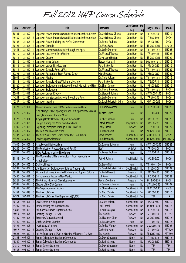# *Fall 2012 UHP Course Schedule*

| <b>CRN</b> | Course $#$ Cr |                | <b>Title</b>                                                                                        | Instructor                | Core/Group<br>Req | <b>MC</b><br>Req | <b>Days/Times</b> | <b>Room</b>       |
|------------|---------------|----------------|-----------------------------------------------------------------------------------------------------|---------------------------|-------------------|------------------|-------------------|-------------------|
| 30105      | 121-002       |                | 3 Legacy of Power: Imperialism and Exploration in the Americas                                      | Dr. Celia Lopez-Chavez    | Core: Hum         | <b>No</b>        | R 12:30-3:00      | <b>SHC 12</b>     |
| 45439      | 121-003       |                | 3 Legacy of Power: Imperialism and Exploration in the Americas                                      | Dr. Celia Lopez-Chavez    | Core: Hum         | <b>No</b>        | T 3:30-6:00       | SHC <sub>9</sub>  |
| 30108      | 121-005       | $\overline{3}$ | Legacy of Power: Building the Perfect Government                                                    | Dr. Renee Faubion         | Core: Hum         | <b>No</b>        | W 1:00-3:30       | SHC <sub>8</sub>  |
| 30121      | 121-006       | $\overline{3}$ | <b>Legacy of Comedy</b>                                                                             | Dr. Maria Szasz           | Core: Hum         | <b>No</b>        | TR 9:30-10:45     | <b>SHC 28</b>     |
| 40455      | 121-007       | 3 <sup>1</sup> | Legacy of Monsters and Marvels through the Ages                                                     | Dr. Leslie Donovan        | Core: Hum         | <b>No</b>        | TR 11:00-12:15    | <b>SHC 28</b>     |
| 30110      | 121-008       | 3 <sup>1</sup> | Legacy of the Storyteller in Writing                                                                | Dr. Michael Thomas        | Core: Hum         | <b>No</b>        | TR 3:00-4:15      | <b>SHC 28</b>     |
| 30111      | 121-009       |                | 3 Legacy of Dreams                                                                                  | David Leon Higdon         | Core: Hum         | <b>No</b>        | TR 9:30-10:45     | <b>SHC 22</b>     |
| 30112      | 121-010       |                | 3 Legacy of Visual Culture                                                                          | <b>Stacey Kikendall</b>   | Core: Hum         | <b>No</b>        | MW 9:00-10:15     | <b>SHC 12</b>     |
| 30113      | 121-011       |                | 3 Legacy of Law and Lawlessness                                                                     | Jonatha Kottler           | Core: Hum         | <b>No</b>        | M 5:00-7:30       | <b>SHC 12</b>     |
| 30114      | 121-012       |                | 3 Legacy of Struggle: Roots of War                                                                  | Dr. Michael Thomas        | Core: Hum         | <b>No</b>        | TR 11:00-12:15    | <b>SHC 22</b>     |
| 37395      | 121-013       |                | 3 Legacy of Adaptation: From Page to Screen                                                         | <b>Marc Roberts</b>       | Core: Hum         | <b>No</b>        | M 5:00-7:30       | <b>SHC 22</b>     |
| 39932      | 121-015       |                | 3 Legacy of Algebra                                                                                 | Dr. Chris Holden          | Core: Hum         | <b>No</b>        | TR 11:00-12:15    | <b>SHC 12</b>     |
| 30118      | 121-016       | 3 <sup>1</sup> | Legacy of Struggle: Great Villains in Literature                                                    | Jonatha Kottler           | Core: Hum         | <b>No</b>        | T 5:00-7:30       | <b>SHC 12</b>     |
| 30120      | 121-017       | 3 <sup>1</sup> | Legacy of Exploration: Immigration through Memoirs and Film                                         | Dr. Sheri Karmiol         | Core: Hum         | <b>No</b>        | M 1:00-3:30       | <b>SHC 12</b>     |
| 32486      | 121-018       |                | 3 Legacy of Exploration                                                                             | Dr. Ursula Shepherd       | Core: Hum         | <b>No</b>        | TR 11:00-12:15    | SHC <sub>8</sub>  |
| 35933      | 121-019       |                | 3 Legacy of Law and Society                                                                         | Dr. Lizabeth Johnson      | Core: Hum         | <b>No</b>        | MW 10:00-11:15    | SHC <sub>8</sub>  |
| 44288      | 121-020       |                | 3 Legacy of Monsters and Marvels through the Ages                                                   | Dr. Leslie Donovan        | Core: Hum         | <b>No</b>        | TR 2:00-3:15      | SHC <sub>9</sub>  |
| 42387      | 121-022       |                | 3 Legacy of the Mind                                                                                | Dr. Sarah Feldstein Ewing | Core: Hum         | <b>No</b>        | MW 1:00-2:15      | SHC <sub>9</sub>  |
| 30123      | 221-001       |                | 3 Atomic Anxiety: The Cold War in Literature and Film                                               | Dr. Andrew Ascherl        | Hum               | <b>No</b>        | T 12:30-3:00      | <b>SHC 28</b>     |
| 30125      | 221-002       | 3              | 'End of Days" 2012: Apocalyptic and Post-Apocalyptic Visions<br>in Art, Literature, Film, and Music | Juliette Cunico           | Hum               | <b>No</b>        | T 3:30-6:00       | <b>SHC 22</b>     |
| 30127      | 221-004       |                | 3 Judging Death: Heaven, Hell, and the Afterlife                                                    | Dr. Sheri Karmiol         | Hum               | <b>No</b>        | W 1:00-3:30       | <b>SHC 28</b>     |
| 37396      | 221-005       |                | 3 Energy, Burning the World from Both Ends                                                          | Patrick Johnson           | Phy&NatSci        | <b>No</b>        | W 5:00-7:30       | <b>SHC 12</b>     |
| 34245      | 221-006       |                | 3 Exploring Perception Through Visual Play (\$10)                                                   | <b>Emily Orzech</b>       | <b>Fine Arts</b>  | <b>No</b>        | T 12:30-3:00      | SHC <sub>22</sub> |
| 43485      | 221-007       |                | 3 The Best of All Possible Worlds                                                                   | Dr. Diane Rawls           | Hum               | <b>No</b>        | W 12:00-2:30      | <b>SHC 16</b>     |
| 43487      | 221-008       |                | 3 The New Noir: Crime Fiction for Today's Dark Times                                                | <b>Steve Brewer</b>       | <b>Humanities</b> | <b>No</b>        | M 10:00-12:30     | SHC <sub>9</sub>  |
| 44523      | 235-002       | 3 <sup>1</sup> | Leadership Development                                                                              | Dr. Adam Bubb             | Soc&BehSci        | <b>No</b>        | TR 12:30-1:45     | MITCH 215         |
| 41936      | 301-001       |                | 3 Nabokov and Nabokovians                                                                           | Dr. Samuel Schuman        | Hum               | <b>No</b>        | MW 11:00-12:15    | <b>SHC 22</b>     |
| 34246      | 301-002       |                | 3 The Publication Process (Scribendi Part 1)                                                        | Staff                     | Wri&Spk           | <b>No</b>        | TR 3:30-5:00      | SHC <sub>8</sub>  |
| 45745      | 301-003       |                | 3 SICK: Real and Imagined Epidemics                                                                 | Dr. Renee Faubion         | Hum               | <b>No</b>        | T 2:00-4:30       | <b>SHC 12</b>     |
| 30132      | 301-004       | 3              | The Modern Era of Nanotechnology: From Nanobots to<br>Nanobiology                                   | Patrick Johnson           | Phy&NatSci        | <b>No</b>        | W 2:30-5:00       | SHC <sub>9</sub>  |
| 34247      | 301-005       |                | 3 Orality of Poetry                                                                                 | Dr. Bruce Noll            | Hum               | No               | TR 10:00-11:30    | SHC <sub>9</sub>  |
| 44291      | 301-007       |                | 3 Life Stories: An Exploration of Science Through Life                                              | Dr. Sarah Feldstein Ewing | Soc&BehSci        | <b>No</b>        | R 12:30-3:00      | <b>SHC 22</b>     |
| 30142      | 301-009       |                | 3 Pictures that Move: Animated Cartoons and Popular Culture                                         | Dr. Ruth Meredith         | <b>Fine Arts</b>  | <b>No</b>        | M 2:00-4:30       | <b>SHC 16</b>     |
| 43486      | 301-011       |                | 3 Environmental Justice in New Mexico                                                               | V.B. Price                | Soc&BehSci        | No               | R 6:00-8:30       | SHC <sub>22</sub> |
| 36321      | 301-012       |                | 3 The Art and History of Dia de los Muertos                                                         | Regina Corritore          | <b>Fine Arts</b>  | Yes              | M 12:00-2:30      | SHC <sub>8</sub>  |
| 41937      | 301-013       |                | 3 Classics of the 21st Century                                                                      | Dr. Samuel Schuman        | Hum               | <b>No</b>        | MW 2:00-3:15      | <b>SHC 22</b>     |
| 30141      | 301-015       |                | 3 The Corporation and Society                                                                       | Dr. Shawn Berman          | Soc&BehSci        | <b>No</b>        | TR 12:00-1:30     | SHC <sub>9</sub>  |
| 44563      | 301-028       |                | 3 The Heart of China                                                                                | Dr. Ned O'Malia           | Soc&BehSci        | Yes              | M 5:00-7:30       | <b>SHC 16</b>     |
| 44924      | 302-031       |                | 3 The Heart of China: Field Experience (\$2,350)                                                    | Dr. Ned O'Malia           | Soc&BehSci        | Yes              | <b>TBA</b>        | <b>TBA</b>        |
| 30153      | 401-001       |                | 3   Local Games in Albuquerque                                                                      | Dr. Chris Holden          | Soc&BehSci        | <b>No</b>        | W 2:00-4:30       | <b>SHC 12</b>     |
| 34249      | 401-002       |                | 3 Ethics: Making the Right Decision                                                                 | Paul Fornell              | Soc&BehSci        | <b>No</b>        | M 8:00-10:30      | <b>SHC 16</b>     |
| 41836      | 401-003       |                | 3 Solutions to Human Rights Problems                                                                | Dr. Sarita Cargas         | Soc&BehSci        | No               | R 12:30-3:00      | <b>SHC 16</b>     |
| 45015      | 401-005       |                | 3 Creating Change (1st 8wk)                                                                         | Szu-Han Ho                | <b>Fine Arts</b>  | No               | S 11:00-4:00      | <b>ART 352</b>    |
| 43489      | 401-006       |                | 3 Scratches, Tags and Aerosol                                                                       | Dr. Elizabeth Olton       | <b>Fine Arts</b>  | No               | W 9:00-11:30      | <b>SHC 16</b>     |
| 43490      | 401-007       |                | 3 On the Order of Disorder                                                                          | Dr. Rosalie Otero         | Hum               | <b>No</b>        | T 11:00-1:30      | <b>SHC 16</b>     |
| 43491      | 401-008       |                | 3 Psychology of Politics                                                                            | Dr. Teddy Warner          | Soc&BehSci        | <b>No</b>        | M W 6:00-7:30     | <b>SHC 28</b>     |
| 45017      | 401-009       |                | 3 Creating Change (1st 8wk)                                                                         | Catherine Harris          | <b>Fine Arts</b>  | No               | S 11:00-4:00      | <b>ART 320</b>    |
| 45626      | 401-010       |                | 3 Intl Art Practicum: ISEA2012: Machine Wilderness (1st 8wk)                                        | Szu-Han Ho                | <b>Fine Arts</b>  | <b>No</b>        | RF 12:30-4:00     | <b>ART 350</b>    |
| 21808      | 495-001       |                | 3 Senior Colloquium: Teaching Community                                                             | Dr. Dawn Stracener        | None              | No               | T4:00-6:30        | <b>SHC 16</b>     |
| 45349      | 495-002       |                | 3 Senior Colloquium: Teaching Community                                                             | Dr. Sarita Cargas         | None              | No               | W 3:00-5:30       | <b>SHC 16</b>     |
| 21810      | 496-001       |                | 3 Senior Service Learning                                                                           | Dr. Dawn Stracener        | None              | No               | <b>TBA</b>        | <b>TBA</b>        |
| 45438      | 496-002       |                | 3 Senior Service Learning                                                                           | Dr. Sarita Cargas         | None              | No               | <b>TBA</b>        | TBA               |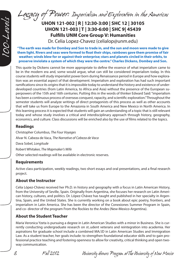*Legacy of Power: Imperialism and Exploration in the Americas*

# **UHON 121-002 | R | 12:30-3:00 | SHC 12 | 30105 UHON 121-003 | T | 3:30-6:00 | SHC 9| 45439 Fulfills UNM Core Group V: Humanities**

Dr. Celia Lopez-Chavez (celialop@unm.edu)

**"The earth was made for Dombey and Son to trade in, and the sun and moon were made to give them light. Rivers and seas were formed to float their ships, rainbows gave them promise of fair weather; winds blew for or against their enterprise; stars and planets circled in their orbits, to preserve inviolate a system of which they were the centre." Charles Dickens, Dombey and Son.**

This quote by Dickens cannot be more appropriate to define the essence of what imperialism came to be in the modern era and, some would argue, what can still be considered imperialism today. In this course students will study imperialist power born during Renaissance period in Europe and how exploration was an essential aspect of that development. Imperialism and exploration has had such important ramifications since its origins that it is impossible today to understand the history and existence of underdeveloped countries (from Latin America, to Africa and Asia) without the presence of the European superpowers of the 15th and 16th centuries. Putting this in the words of thinker Edward Said: "imperialism has been a continuous process of overseas conquest, rapacity, and scientific exploration." Throughout the semester students will analyze writings of direct protagonists of this process as well as other accounts that will take us from Europe to the Amazonia in South America and New Mexico in North America. In this learning process it is expected that students will gain an understanding of a topic that is still relevant today and whose study involves a critical and interdisciplinary approach through history, geography, economics, and culture. Class discussions will be enriched also by the use of films related to the topics.

#### **Readings**

*100-Levels*

Christopher Columbus, *The Four Voyages* Alvar N. Cabeza de Vaca, *The Narrative of Cabeza de Vaca* Dava Sobel, *Longitude* Robert Whitaker, *The Mapmaker's Wife* Other selected readings will be available in electronic reserves.

#### **Requirements**

Active class participation, weekly readings, two short essays and oral presentations, and a final research project.

#### **About the Instructor**

Celia López-Chávez received her Ph.D. in history and geography with a focus in Latin American History, from the University of Seville, Spain. Originally from Argentina, she focuses her research on Latin American history, cultures, and politics. Dr. López-Chávez has taught and published in her specialty in Argentina, Spain, and the United States. She is currently working on a book about epic poetry, frontiers, and imperialism in Latin America. She has been the director of the Conexiones Summer Program in Spain, and co- director of the program From the Rockies to the Andes (New-Mexico-Argentina).

#### **About the Student Teacher**

Maria Veronica Yzeta is pursuing a degree in Latin American Studies with a minor in Business. She is currently conducting undergraduate research on st..udent veterans and reintegration into academia. Her aspirations for graduate school include a combined MA/JD in Latin American Studies and Immigration Law. As a student teacher, her goals include: to strengthen foundational educator skills and to gain professional practice teaching and fostering openness to allow for creativity, critical thinking and open twoway communication.

*8 Fall 2012 University Honors Program at The University of New Mexico*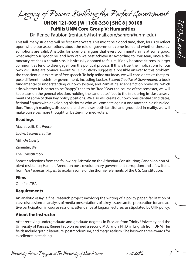*Legacy of Power: Building the Perfect Government*

**UHON 121-005 | W | 1:00-3:30 | SHC 8 | 30108 Fulfills UNM Core Group V: Humanities** 

Dr. Renee Faubion (renfaub@hotmail.com/sanren@unm.edu)

This fall, many students will be first-time voters. This might be a good time, then, for us to reflect upon where our assumptions about the role of government come from and whether these assumptions are valid. Aristotle, for example, argues that every community aims at some good; what might our "good" be, and how can we best achieve it? According to Rousseau, once a democracy reaches a certain size, it is virtually doomed to failure, if only because citizens in larger communities tend to disengage from the political process. If this is true, the implications for our own civil state are ominous—but Mill's *On Liberty* suggests a possible answer to this problem: the conscientious exercise of free speech. To help refine our ideas, we will consider texts that propose different models for government, including Locke's *Second Treatise of Government*, a book fundamental to understanding our own system, and Zamiatin's science fiction novel *We*, which asks whether it is better to be "happy" than to be "free." Over the course of the semester, we will keep tabs on the general election, holding the candidates' feet to the fire during in-class assessments of some of their key policy positions. We also will create our own presidential candidates, fictional figures with developing platforms who will compete against one another in a class election. Through readings, discussion, and exercises both fanciful and grounded in reality, we will make ourselves more thoughtful, better-informed voters.

#### **Readings**

Machiavelli*, The Prince* Locke, *Second Treatise*  Mill, *On Liberty* Zamiatin, *We* The Constitution

Shorter selections from the following: Aristotle on the Athenian Constitution; Gandhi on non-violent resistance; Hannah Arendt on post-revolutionary government corruption; and a few items from *The Federalist Papers* to explain some of the thornier elements of the U.S. Constitution.

#### **Films**

One film TBA

#### **Requirements**

An analytic essay; a final research project involving the writing of a policy paper; facilitation of class discussion; an analysis of media presentations of a key issue; careful preparation for and active participation in course sessions; attendance at Legacy lectures, as stipulated by UHP policy.

### **About the Instructor**

After receiving undergraduate and graduate degrees in Russian from Trinity University and the University of Kansas, Renée Faubion earned a second M.A. and a Ph.D. in English from UNM. Her fields include gothic literature, postmodernism, and magic realism. She has won three awards for excellence in teaching.

*University Honors Program at The University of New Mexico Fall 2012 9*



*100-Levels*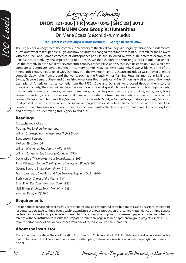*Legacy of Comedy*

**UHON 121-006 | T R | 9:30-10:45 | SHC 28 | 30121 Fulfills UNM Core Group V: Humanities**

Dr. Maria Szasz (deschild@unm.edu)

#### **"Laughter is essentially a serious business." –George Bernard Shaw**

The Legacy of Comedy traces the complex, rich history of theatrical comedy. We begin by raising the fundamental questions: "what makes people laugh, and how has humor changed over time?" We start our search for the answers with the Greek and Roman comedies of Aristophanes and Plautus, followed by two quite different examples of Renaissance comedy by Shakespeare and Ben Jonson. We then explore the shocking social critique that underlies the comedy in both Molière's seventeenth-century French plays and Wycherley's Restoration plays, which we compare to Congreve's gentle eighteenth-century humor. Next, we investigate why Oscar Wilde was one of the nineteenth-century's best loved wits. Our foray into the twentieth-century theatre includes a vast array of talented comedic playwrights from around the world, such as the French writer Yasmina Reza; Irishmen John Millington Synge, George Bernard Shaw and Brian Friel; Americans Beth Henley and Neil Simon, as well as one of the finest examples of American musical comedy from the 1950s, Guys and Dolls. As we proceed through the history of theatrical comedy, the class will explore the evolution of several specific types of comedy, such as high comedy, low comedy, comedy of humors, comedy of manners, vaudeville, puns, theatrical pantomime, satire, farce, black comedy, stand-up, and improvisation. Finally, we will consider the true meaning behind comedy. Is the object of comedy "to sport with human follies," as Ben Jonson remarked? Or is it, as Gamini Salgado states, primarily "escapist, for it presents us with a world where the shows of things are joyously submitted to the desires of the mind?" Or is comedy's main function, according to theatre critic Ben Brantley, "to defuse bombs that in real life often explode and destroy?" Consider taking this Legacy to find out!

#### **Readings**

*100-Levels*

Aristophanes, *Lysistrata*  Plautus, *The Brothers Menaechmus* William Shakespeare, *A Midsummer Night's Dream* Ben Jonson, *Volpone*  Molière, *Tartuffe* (1664) William Wycherley, *The Country Wife* (1675) William Congreve, *She Stoops to Conquer* (1773) Oscar Wilde, *The Importance of Being Earnest* (1895) John Millington Synge, *The Playboy of the Western World* (1907) George Bernard Shaw, *Pygmalion* (1912) Frank Loesser, Jo Swerling and Abe Burrows*, Guys and Dolls* (1950) Beth Henley, *Crimes of the Heart* (1981) Brian Friel, *The Communication Cord* (1982) Neil Simon, *Brighton Beach Memoirs* (1983) Yasmina Reza, '*Art'* (1994)

#### **Requirements**

Reliable and eager attendance; careful, consistent reading and thoughtful contributions to class discussions; three short response papers (two to three pages each); attendance at a local production of a comedy; attendance at three Legacy Lectures and a one to two page review of each lecture; a one page proposal for a research paper and a ten minute conference with the instructor to discuss the proposal; a four to six page research paper; and a group project: a short (15-20) minute performance of one or two scenes from one of the plays we read this semester.

#### **About the Instructor**

Maria Szasz holds a MA in Theatre Education from Emerson College, and a PhD in English from UNM, where she specialized in Drama and Irish Literature. She is currently attempting to turn her dissertation on Irish playwright Brian Friel into a book.

*10 Fall 2012 University Honors Program at The University of New Mexico*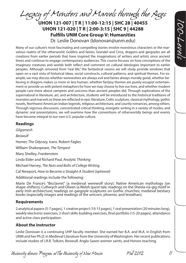*Legacy of Monsters and Marvels through the Ages* **UHON 121-007 | T R | 11:00-12:15 | SHC 28 | 40455** 

**UHON 121-020 | T R | 2:00-3:15 | SHC 9 | 44288 Fulfills UNM Core Group V: Humanities** 

Dr. Leslie Donovan (ldonovan@unm.edu)

*100-Levels*

Many of our culture's most fascinating and compelling stories involve monstrous characters or the marvelous realms of the otherworld. Goblins and fairies, Grendel and Circe, dragons and gargoyles are all creations from earlier periods that have inspired the imaginations of writers and artists since ancient times and continue to engage contemporary audiences. This course focuses on how conceptions of the imaginary creatures and worlds both reflect and comment on cultural ideologies important to earlier peoples. Although removed from "real life," the fantastical visions we will study provide windows that open on a vast vista of historical ideas, social constructs, cultural patterns, and spiritual themes. For example, we may discuss whether werewolves are always evil and fairies always morally good, whether believing in dragons makes us more or less human, whether fantasy themes are purely escapist entertainment or provide us with potent metaphors for how we may choose to live our lives, and whether modern people care more about vampires and unicorns than ancient peoples did. Through explorations of the supernatural in literature, art, and architecture, students will be introduced to the historical traditions of monsters and marvels as these are reflected in epic literature, Celtic sculpture, classical mythology, gothic novels, Northwest American Indian legends, religious architecture, and courtly romances, among others. Through vigorous discussion, concentrated critical thinking, energetic writing in a variety of modes, and dynamic oral presentations, we will examine how the conventions of otherworldly beings and events have become integral to our own U.S. popular culture.

#### **Readings**

*Gilgamesh Beowulf* Homer, *The Odyssey,* trans. Robert Fagles William Shakespeare, *The Tempest* Mary Shelley, *Frankenstein* Linda Elder and Richard Paul, *Analytic Thinking* Michael Harvey, *The Nuts and Bolts of College Writing* Cal Newport, *How to Become a Straight-A Student (optional)* Additional readings include the following:

Marie De France's "Bisclavret" (a medieval werewolf story); Native American mythology (on shape-shifters); Culhwych and Olwen (a Welsh quest tale; readings on the Sheela-na-gig motif in early Irish architecture; readings on gargoyle sculptures on Gothic churches; medieval bestiary books (especially images and readings of the unicorn, phoenix, and leviathan).

#### **Requirements**

2 analytical papers (5-7 pages), 1 creative project (10-15 pages), 1 oral presentation (20 minutes long), weekly electronic exercises, 3 short skills-building exercises, final portfolio (15-20 pages), attendance and active class participation.

#### **About the Instructor**

Leslie Donovan is a continuing UHP faculty member. She earned her B.A. and M.A. in English from UNM and her Ph.D. in Medieval Literature from the University of Washington. Her recent publications include studies of J.R.R. Tolkien, Beowulf, Anglo-Saxon women saints, and Honors teaching.

*University Honors Program at The University of New Mexico Fall 2012 11*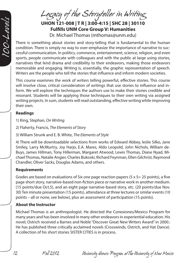100-Level

*Legacy of the Storyteller in Writing*

**UHON 121-008 | T R | 3:00-4:15 | SHC 28 | 30110 Fulfills UNM Core Group V: Humanities** 

Dr. Michael Thomas (mthomas@unm.edu)

There is something about stories and story-telling that is fundamental to the human condition. There is simply no way to over-emphasize the importance of narrative to successful communication. In politics, commerce, entertainment, science, religion, and even sports, people communicate with colleagues and with the public at large using stories, narratives that lend drama and credibility to their endeavors, making those endeavors memorable and engaging. Writing is, essentially, the graphic representation of speech. Writers are the people who tell the stories that influence and inform modern societies.

This course examines the work of writers telling powerful, effective stories. This course will involve close, critical consideration of writings that use stories to influence and inform. We will explore the techniques the authors use to make their stories credible and resonant. Students will be applying those techniques to their own writing via assigned writing projects. In sum, students will read outstanding, effective writing while improving their own.

### **Readings**

1) King, Stephan, *On Writing*

2) Flaherty, Francis, *The Elements of Story*

3) William Strunk and E. B. White, *The Elements of Style*

4) There will be downloadable selections from works of Edward Abbey, leslie Silko, Jane Smiley, Larry McMurtry, Joy Harjo, E.A. Mares, Aldo Leopold, John Nichols, William de-Buys, James Hillman, Tony Hillerman, Margaret Atwood, Lewis Thomas, Diane Nyad, Michael Thomas, Natalie Angier, Charles Bukoski, Richard Feynman, Ellen Gilchrist, Raymond Chandler, Oliver Sacks, Douglas Adams, and others.

# **Requirements**

Grades are based on evaluations of Six one page reaction papers (5 x 5= 25 points), a five page short story, narrative-based non-fiction piece or narrative work in another medium. (15 points/due Oct.5), and an eight page narrative-based story, etc. (20 points/due Nov. 30) Ten minute presentation (15 points), attendance at three lectures or similar events (10 points – all or none, see below), plus an assessment of participation (15 points).

# **About the Instructor**

Michael Thomas is an anthropologist. He directed the Conexiones/Mexico Program for many years and has been involved in many other endeavors in experiential education. His novel, Ostrich received a Barnes and Noble "Discover Great New Writers Award" in 2000.: He has published three critically acclaimed novels (Crosswinds, Ostrich, and Hat Dance). A collection of his short stories SISTER CITIES is in process.

*12 Fall 2012 University Honors Program at The University of New Mexico*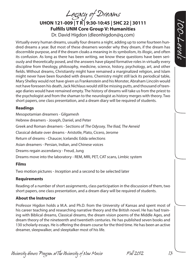*Legacy of Dreams*

**UHON 121-009 | T R | 9:30-10:45 | SHC 22 | 30111 Fulfills UNM Core Group V: Humanities**  Dr. David Higdon (dleonhigdon@q.com)

Virtually every human dreams, usually four dreams a night, adding up to some fourteen hundred dreams a year. But most of these dreamers wonder why they dream, if the dream has discernible purpose, and if the dream cloaks a meaning in its symbolism, its illogic, and often its confusion. As long as there has been writing, we know these questions have been seriously and theoretically posed, and the answers have played formative roles in virtually every discipline from theology, philosophy, medicine, science, history, psychology, art, and other fields. Without dreams, Christianity might have remained a marginalized religion, and Islam might never have been founded with dreams. Chemistry might still lack its periodical table, Mary Shelley would not have given us Frankenstein and his Monster, Abraham Lincoln would not have foreseen his death, Jack Nichlaus would still be missing putts, and thousand of teenage diaries would have remained empty. The history of dreams will take us from the priest to the psychologist and from the shaman to the neurologist as history merges with theory. Two short papers, one class presentation, and a dream diary will be required of students.

#### **Readings**

Mesopotamian dreamers - Gilgamesh Hebrew dreamers - Joseph, Daniel, and Peter Greek and Roman dreamers - Sections of *The Odyssey, The Iliad, The Aeneid* Classical debate over dreams - Aristotle, Plato, Cicero, Jerome Return of dreams - Chaucer, Icelandic Edda selections Asian dreamers - Persian, Indian, and Chinese voices Dreams regain ascendancy - Freud, Jung Dreams move into the laboratory - REM, MRI, PET, CAT scans, Limbic system

#### **Films**

Two motion pictures - *Inception* and a second to be selected later

#### **Requirements**

Reading of a number of short assignments, class participation in the discussion of them, two short papers, one class presentation, and a dream diary will be required of students.

#### **About the Instructor**

Professor Higdon holds a M.A. and Ph.D. from the University of Kansas and spent most of his career teaching and researching narrative theory and the British novel. He has had training with Biblical dreams, Classical dreams, the dream vision poems of the Middle Ages, and dream theory of the nineteenth and twentieth centuries. He has published seven books and 130 scholarly essays. He is offering the dream course for the third time. He has been an active dreamer, sleepwalker, and sleeptalker most of his life.

*University Honors Program at The University of New Mexico Fall 2012 13*

*100-Levels*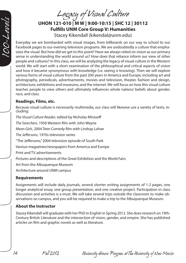*Legacy of Visual Culture*

# **UHON 121-010 | M W | 9:00-10:15 | SHC 12 | 30112 Fulfills UNM Core Group V: Humanities**

Stacey Kikendall (kikendal@unm.edu)

Everyday we are bombarded with visual images, from billboards on our way to school to our Facebook pages to our evening television programs. We are undoubtedly a culture that emphasizes the visual. But how did we get to this point? Have we always relied on vision as our primary sense in understanding the world around us? How does that reliance inform our view of other people and cultures? In this class, we will be analyzing the legacy of visual culture in the Western world. We will start with a short examination of the philosophical and critical aspects of vision and how it became synonymous with knowledge (i.e. seeing is knowing). Then we will explore various forms of visual culture from the past 200 years in America and Europe, including art and photography, periodicals, advertisements, movies and television, theater, fashion and design, architecture, exhibitions and museums, and the internet. We will focus on how this visual culture teaches people to view others and ultimately influences whole nations' beliefs about gender, race, and class.

#### **Readings, Films, etc.**

*100-Levels*

Because visual culture is necessarily multimedia, our class will likewise use a variety of texts, in- cluding:

*The Visual Culture Reader*, edited by Nicholas Mirzoeff *The Searchers*, 1956 Western film with John Wayne *Mean Girls*, 2004 Teen Comedy film with Lindsay Lohan *The Jeffersons*, 1970s television series "The Jeffersons," 2004 television episode of South Park Various magazines/newspapers from America and Europe Print and TV advertisements Pictures and descriptions of the Great Exhibition and the World Fairs Art from the Albuquerque Museum

Architecture around UNM campus

### **Requirements**

Assignments will include daily journals, several shorter writing assignments of 1-2 pages, one longer analytical essay, one group presentation, and one creative project. Participation in class discussion and activities is a must. We will take several trips outside the classroom to make observations on campus, and you will be required to make a trip to the Albuquerque Museum.

### **About the Instructor**

Stacey Kikendall will graduate with her PhD in English in Spring 2012. She does research on 19th-Century British Literature and the intersection of vision, gender, and empire. She has published articles on film and graphic novels as well as literature.

*14 Fall 2012 University Honors Program at The University of New Mexico*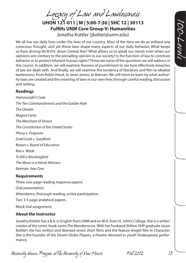*Legacy of Law and Lawlessness*

**UHON 121-011 | M | 5:00-7:30 | SHC 12 | 30113 Fulfills UNM Core Group V: Humanities**  Jonatha Kottler (jkotter@unm.edu)

We all live our daily lives under the laws of our country. Most of the time we do so without any conscious thought, and yet those laws shape many aspects of our daily behavior. What keeps us from driving 90 M.P.H. down Central Ave? What allows us to speak our minds even when our opinions are contrary to the prevailing opinion in our society? Is the function of law to constrain behavior or to protect inherent human rights? These are some of the questions we will address in this course. In addition, we will examine theories of punishment to see how effectively breaches of law are dealt with. And finally, we will examine the tendency of literature and film to idealize lawlessness, from Robin Hood, to Jesse James, to Batman. We will strive to learn by what authority laws are created and the meaning of laws in our own lives through careful reading, discussion and writing.

#### **Readings**

*Hammurabi's Code The Ten Commandments and the Golden Rule The Orestia Magna Carta The Merchant of Venice The Constitution of the United States Plessy v. Ferguson Dred Scott v. Sandford Brown v. Board of Education Roe v. Wade To Kill a Mockingbird The Moon is a Harsh Mistress Batman: Year One*

### **Requirements**

Three one-page reading response papers. Oral presentation. Attendance, thorough reading, active participation. Two 3-5 page analytical papers.

Mock trial assignment.

### **About the Instructor**

Jonatha Kottler has a B.A. in English from UNM and an M.A. from St. John's College. She is a writer/ creator of the comic book series The Wonderverse. With her husband (fellow UHP graduate Jason Kottler) she has written and directed seven short films and the feature length film In Character. She is the founder of the Desert Globe Players, a theatre devoted to youth Shakespeare performance.

*University Honors Program at The University of New Mexico Fall 2012 15*

*100-Levels*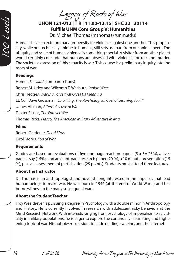*100-Levels*

# *Legacy of Roots of War* **UHON 121-012 | T R | 11:00-12:15 | SHC 22 | 30114**

**Fulfills UNM Core Group V: Humanities** 

Dr. Michael Thomas (mthomas@unm.edu)

Humans have an extraordinary propensity for violence against one another. This propensity, while not technically unique to humans, still sets us apart from our animal peers. The ubiquity and scale of human violence is something special. A visitor from another planet would certainly conclude that humans are obsessed with violence, torture, and murder. The societal expression of this capacity is war. This course is a preliminary inquiry into the roots of war.

### **Readings**

Homer, *The Iliad* (Lombardo Trans) Robert M. Utley and Wilcomb T. Wasburn, *Indian Wars* Chris Hedges, *War is a Force that Gives Us Meaning* Lt. Col. Dave Grossman, *On Killing: The Psychological Cost of Learning to Kill* James Hillman, *A Terrible Love of War* Dexter Filkins, *The Forever War* Thomas Ricks, *Fiasco, The American Military Adventure in Iraq*

### **Films**

Robert Gardener, *Dead Birds* Errol Morris, *Fog of War*

### **Requirements**

Grades are based on evaluations of five one-page reaction papers (5 x 5= 25%), a fivepage essay (15%), and an eight-page research paper (20 %), a 10 minute presentation (15 %), plus an assessment of participation (25 points). Students must attend three lectures.

# **About the Instructor**

Dr. Thomas is an anthropologist and novelist, long interested in the impulses that lead human beings to make war. He was born in 1946 (at the end of World War II) and has borne witness to the many subsequent wars.

### **About the Student Teacher**

Troy Weeldreyer is pursuing a degree in Psychology with a double minor in Anthropology and History. He is currently involved in research with adolescent risky behaviors at the Mind Research Network. With interests ranging from psychology of imperialism to suicidality in military populations, he is eager to explore the continually fascinating and frightening topic of war. His hobbies/obsessions include reading, caffeine, and the internet.

*16 Fall 2012 University Honors Program at The University of New Mexico*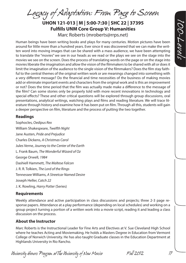*Legacy of Adaptation: From Page to Screen*

# **UHON 121-013 | M | 5:00-7:30 | SHC 22 | 37395 Fulfills UNM Core Group V: Humanities**  Marc Roberts (mroberts@rrps.net)

Human beings have been writing books and plays for many centuries. Motion pictures have been around for little more than a hundred years. Ever since it was discovered that we can make the written word into moving images that can be shared with a mass audience, we have been attempting to translate the "movies" we see in our heads as we read or the plays we see on the stage into the movies we see on the screen. Does the process of translating words on the page or on the stage into movies liberate the imagination and allow the vision of the filmmakers to be shared with all or does it limit the imagination of the audience to the single vision of the filmmakers? Does the film stay faithful to the central themes of the original written work or are meanings changed into something with a very different message? Do the financial and time necessities of the business of making movies add or eliminate important events and characters from the original work and is this an improvement or not? Does the time period that the film was actually made make a difference to the message of the film? Can some stories only be properly told with more recent innovations in technology and special effects? These and other critical questions will be explored through group discussions, oral presentations, analytical writings, watching plays and films and reading literature. We will trace literature through history and examine how it has been put on film. Through all this, students will gain a deeper perspective on film, literature and the process of putting the two together.

#### **Readings**

Sophocles, *Oedipus Rex* William Shakespeare, *Twelfth Night* Jane Austen, *Pride and Prejudice* Charles Dickens, *A Christmas Carol* Jules Verne, *Journey to the Center of the Earth* L. Frank Baum, *The Wonderful Wizard of Oz* George Orwell, *1984* Dashiell Hammett, *The Maltese Falcon* J. R. R. Tolkien, *The Lord of the Rings* Tennessee Williams, *A Streetcar Named Desire* Joseph Heller, *Catch 22* J. K. Rowling, *Harry Potter* (Series)

#### **Requirements**

Weekly attendance and active participation in class discussions and projects; three 2-3 page response papers. Attendance at a play performance (depending on local schedules) and working on a group project turning a portion of a written work into a movie script, reading it and leading a class discussion on the process.

#### **About the Instructor**

Marc Roberts is the Instructional Leader for Fine Arts and Electives at V. Sue Cleveland High School where he teaches Acting and Moviemaking. He holds a Masters Degree in Education from Vermont College of Norwich University. He has also taught Graduate classes in the Education Department at Highlands University in Rio Rancho.

*University Honors Program at The University of New Mexico Fall 2012 17*

*100-Levels*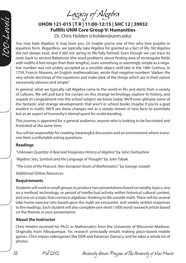*Legacy of Algebra*

# **UHON 121-015 | T R | 11:00-12:15 | SHC 12 | 39932 Fulfills UNM Core Group V: Humanities**  Dr. Chris Holden (cholden@unm.edu)

You may hate Algebra. It may bore you. Or maybe you're one of few who love puzzles in equation form. Regardless, we typically take Algebra for granted as a fact of life. Yet Algebra did not always exist, and it did not spring to life fully formed. Even though we can trace its roots back to ancient Babylonia (the word problems about finding area of rectangular fields with widths 6 feet longer than their lengths), even something as seemingly simple as a negative number was not widely accepted as a sensible object until late in the 18th Century. In 1759, Francis Maseres, an English mathematician, wrote that negative numbers "darken the very whole doctrines of the equations and make dark of the things which are in their nature excessively obvious and simple".

In general, what we typically call Algebra came to the world in fits and starts from a variety of cultures. We will pull back the curtain on this strange technology, explore its history, and unpack its congealment into the school subject we know today. We'll even glimpse some of the fantastic and strange developments that aren't in school books (maybe if you're a grad student in math). We'll see these changes not as a steady stream of new facts to assimilate but as an aspect of humanity's eternal quest for understanding.

This journey is approved for a general audience, anyone who is looking to be fascinated and frustrated at the same time.

You will be responsible for creating meaningful discussion and an environment where everyone feels comfortable asking questions.

#### **Readings**

*100-Levels*

*"Unknown Quantity: A Real and Imaginary History of Algebra"* by John Derbyshire

*"Algebra: Sets, Symbols and the Language of Thought"* by John Tabak

*"The Crest of the Peacock: Non-European Roots of Mathematics"* by George Joseph

Additional Online Resources

### **Requirements**

Students will work in small groups to produce two presentations based on weekly topics, one on a method, technology, or period of intellectual activity within historical cultural context, and one on a topic that connects algebraic thinking to life outside math. There will be several take-home exercise-sets based upon the math we encounter, and weekly written responses to the readings. Each student will also complete one short (1000 word) research article based on the themes in your presentation.

### **About the Instructor**

Chris Holden received his Ph.D. in Mathematics from the University of Wisconsin-Madison. Originally from Albuquerque, his research principally entails making place-based mobile games. Chris enjoys videogames like DDR and Katamari Damacy, and he takes a whole lot of photos.

*18 Fall 2012 University Honors Program at The University of New Mexico*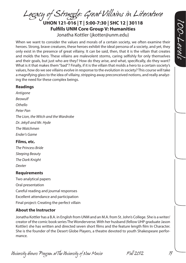*Legacy of Struggle: Great Villains in Literature*

**UHON 121-016 | T | 5:00-7:30 | SHC 12 | 30118 Fulfills UNM Core Group V: Humanities**  Jonatha Kottler (jkotter@unm.edu)

When we want to consider the values and morals of a certain society, we often examine their heroes. Strong, brave creatures, these heroes exhibit the ideal persona of a society, and yet, they only exist in the presence of great villainy. It can be said, then, that it is the villain that creates and molds the hero. These villains are malevolent storms, caring selfishly for only themselves and their goals, but just who are they? How do they arise, and what, specifically, do they want? What is it that makes them "bad"? Finally, if it is the villain that molds a hero to a certain society's values, how do we see villains evolve in response to the evolution in society? This course will take a magnifying glass to the idea of villainy, stripping away preconceived notions, and really analyzing the need for these complex beings.

#### **Readings**

*Antigone Beowulf Othello Peter Pan The Lion, the Witch and the Wardrobe Dr. Jekyll and Mr. Hyde The Watchmen Ender's Game*

#### **Films, etc.**

*The Princess Bride Sleeping Beauty The Dark Knight Dexter*

### **Requirements**

Two analytical papers Oral presentation Careful reading and journal responses Excellent attendance and participation Final project: Creating the perfect villain

### **About the Instructor**

Jonatha Kottler has a B.A. in English from UNM and an M.A. from St. John's College. She is a writer/ creator of the comic book series The Wonderverse. With her husband (fellow UHP graduate Jason Kottler) she has written and directed seven short films and the feature length film In Character. She is the founder of the Desert Globe Players, a theatre devoted to youth Shakespeare performance.

*University Honors Program at The University of New Mexico Fall 2012 19*

*100-Levels*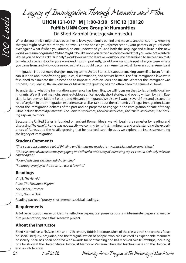*Legacy of Immigration Through Memoirs and Film*

# **UHON 121-017 | M | 1:00-3:30 | SHC 12 | 30120 Fulfills UNM Core Group V: Humanities**  Dr. Sheri Karmiol (metzger@unm.edu)

What do you think it might have been like to leave your family behind and move to another country, knowing that you might never return to your previous home nor see your former school, your parents, or your friends ever again? What if when you arrived, no one understood you and both the language and culture in this new world were unrecognizable? What might it be like once you arrived and discovered that you were not wanted? Would you be homesick? Or lonely? Would you want to leave or would you be determined to succeed no matter what obstacles stood in your way? And most importantly, would you want to forget who you were, where you came from, and who you are now, so that you could become an American--just like every other American?

Immigration is about more than just moving to the United States. It is about remaking yourself to be an American. It is also about confronting prejudice, discrimination, and nativist hatred. The first immigration laws were fashioned to eliminate the Chinese and to impose quotas on Jews and Italians. Whether the immigrant was Chinese, Irish, Jewish, Italian, Muslim, or Mexican, the greeting has too often been the same--Go Home!

To understand what the immigration experience has been like, we will focus on the stories of individual immigrants. We will read memoirs, semi-autobiographical novels, short stories, and poetry written by Irish, Russian, Italian, Jewish, Middle Eastern, and Hispanic immigrants. We also will watch several films and discuss the role of asylum in the immigration experience, as well as talk about the economics of illegal immigration. Learn about the immigration debates of the past and be prepared to engage in the immigration debate of today. Films include *Becoming American: The Chinese Experience, The New Americans, The Jewish Americans, POV: Seeking Asylum, Wetback.*

Because the United States is founded on ancient Roman ideals, we will begin the semester by reading and discussing *The Aeneid*. Rome was not exactly welcoming to its first immigrants and understanding the experiences of Aeneas and the hostile greeting that he received can help us as we explore the issues surrounding the legacy of immigration.

#### **Student Comments**

*"This course encouraged a lot of thinking and it made me revaluate my principles and personal views."*

*"This class was always extremely engaging and offered a wide array of interesting topics. I would definitely take this course again."*

*"I found this class exciting and challenging." "I thoroughly enjoyed this course. It was a favorite."*

#### **Readings**

*100-Levels*

Virgil, *The Aeneid* Puzo, *The Fortunate Pilgrim* Abu-Jaber, *Crescent* Chin, *Donald Duk* Reading packet of poetry, short memoirs, critical readings.

### **Requirements**

A 3-4 page location essay on identity, reflection papers, oral presentations, a mid-semester paper and media/ film presentation, and a final research project.

### **About the Instructor**

Sheri Karmiol has a Ph.D. in 16th and 17th century British literature. Most of the classes that she teaches focus on social inequity, prejudice, and the marginalization of people, who are classified as expendable members of society. Sheri has been honored with awards for her teaching and has received two fellowships, including one for study at the United States Holocaust Memorial Museum. Sheri also teaches classes on the Holocaust and on intolerance.

*20 Fall 2012 University Honors Program at The University of New Mexico*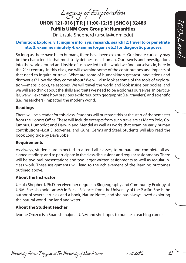*Legacy of Exploration*

**UHON 121-018 | T R | 11:00-12:15 | SHC 8 | 32486 Fulfills UNM Core Group V: Humanities** 

Dr. Ursula Shepherd (ursula@unm.edu)

#### **Definition: Explore: v 1: inquire into [syn: research, search] 2: travel to or penetrate into; 3: examine minutely 4: examine (organs etc.) for diagnostic purposes.**

So long as there have been humans, there have been explorers. Our innate curiosity may be the characteristic that most truly defines us as human. Our travels and investigations into the world around and inside of us have led to the world we find ourselves in, here in the 21st century. In this class, we will examine some of the contributions and impacts of that need to inquire or travel. What are some of humankind's greatest innovations and discoveries? How did they come about? We will also look at some of the tools of exploration—maps, clocks, telescopes. We will travel the world and look inside our bodies, and we will also think about the skills and traits we need to be explorers ourselves. In particular, we will examine how previous explorers, both geographic (i.e., travelers) and scientific (i.e., researchers) impacted the modern world.

#### **Readings**

There will be a reader for this class. Students will purchase this at the start of the semester from the Honors Office. These will include excerpts from such travelers as Marco Polo, Columbus, Humboldt and Darwin and Mendel as well as works that examine early human contributions--Lost Discoveries, and Guns, Germs and Steel. Students will also read the book Longitude by Dava Sobel.

#### **Requirements**

As always, students are expected to attend all classes, to prepare and complete all assigned readings and to participate in the class discussions and regular assignments. There will be two oral presentations and two larger written assignments as well as regular inclass work. These assignments will lead to the achievement of the learning outcomes outlined above.

#### **About the Instructor**

Ursula Shepherd, Ph.D. received her degree in Biogeography and Community Ecology at UNM. She also holds an MA in Social Sciences from the University of the Pacific. She is the author of several articles and a book, Nature Notes, and she has always loved exploring the natural world--on land and water.

#### **About the Student Teacher**

Ivonne Orozco is a Spanish major at UNM and she hopes to pursue a teaching career.

*University Honors Program at The University of New Mexico Fall 2012 21*

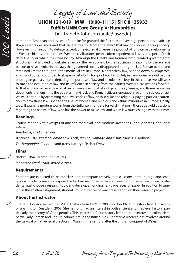*Legacy of Law and Society*

# **UHON 121-019 | M W | 10:00-11:15 | SHC 8 | 35933 Fulfills UNM Core Group V: Humanities**

Dr. Lizabeth Johnson (aoife@uw.edu)

In modern American society, we often take for granted the fact that the average person has a voice in shaping legal decisions and that we are free to debate the effect that law has on influencing society. However, this freedom to debate, accept, or reject legal change is a product of long-term developments in Western history. In the earliest Western civilizations, people often experienced law as an aspect of their daily lives over which they had no say. Although the Greeks and Romans both created governmental structures that allowed for debate regarding the laws upheld by their societies, the ability for the average person to have a voice in the laws that governed society disappeared during the late Roman period and remained limited throughout the medieval era in Europe. Nonetheless, law, handed down by emperors, kings, and popes, continued to shape society, both for good and for ill. Only in the modern era did people once again gain a voice in debating the purpose of law and its role in society. In this course, we will seek to trace the evolution of law and its influence in society from the earliest Western civilizations forward. To that end, we will examine legal texts from ancient Babylon, Egypt, Israel, Greece, and Rome, as well as documents that enshrine the debates that Greek and Roman citizens engaged in over the subject of law. We will continue by examining medieval codes of law, both secular and religious, paying particular attention to how those laws shaped the lives of women and religious and ethnic minorities in Europe. Finally, we will examine modern works, from the Enlightenment-era forward, that posit these ages-old questions regarding the nature of law, who has the power to make law, and when law must change with the times.

#### **Readings**

*100-Levels*

Course reader with excerpts of ancient, medieval, and modern law codes, legal debates, and legal cases.

Aeschylus, *The Eumenides* Justinian, *The Digest of Roman Law: Theft, Rapine, Damage, and Insult*, trans. C.F. Kolbert. *The Burgundian Code*, ed. and trans. Kathryn Fischer Drew

### **Films**

*Becket*, 1964 Paramount Pictures *Inherit the Wind*, 1960 United Artists

#### **Requirements**

Students are expected to attend class and participate actively in discussions, both in large and small groups. Students are also responsible for four response papers of three to four pages each. Finally, students must choose a research topic and develop an original ten-page research paper. In addition to turning in this written assignment, students must also give an oral presentation on their research project.

# **About the Instructor**

Lizabeth Johnson earned her MA in History from UNM in 2000 and her Ph.D. in History from University of Washington, Seattle in 2008. She has long had an interest in both ancient and medieval history, particularly the history of Celtic peoples. This interest in Celtic history led her to an interest in colonialism, particularly Roman and English colonialism in the British Isles. Her recent research has revolved around the survival of native legal practices in Wales in the century after the English conquest of Wales.

*22 Fall 2012 University Honors Program at The University of New Mexico*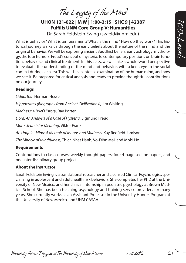*The Legacy of the Mind*

**UHON 121-022 | M W | 1:00-2:15 | SHC 9 | 42387 Fulfills UNM Core Group V: Humanities** 

Dr. Sarah Feldstein Ewing (swfeld@unm.edu)

What is behavior? What is temperament? What is the mind? How do they work? This historical journey walks us through the early beliefs about the nature of the mind and the origin of behavior. We will be exploring ancient Buddhist beliefs, early astrology, mythology, the four humors, Freud's concept of hysteria, to contemporary positions on brain function, behavior, and clinical treatment. In this class, we will take a whole-world perspective to evaluate the understanding of the mind and behavior, with a keen eye to the social context during each era. This will be an intense examination of the human mind, and how we see it. Be prepared for critical analysis and ready to provide thoughtful contributions on our journey.

#### **Readings**

*Siddartha*, Herman Hesse *Hippocrates (Biography from Ancient Civilizations)*, Jim Whiting *Madness: A Brief History*, Ray Porter *Dora: An Analysis of a Case of Hysteria*, Sigmund Freud *Man's Search for Meaning*, Viktor Frankl *An Unquiet Mind: A Memoir of Moods and Madness*, Kay Redfield Jamison

*The Miracle of Mindfulness*, Thich Nhat Hanh, Vo-Dihn Mai, and Mobi Ho

### **Requirements**

Contributions to class courses; weekly thought papers; four 4-page section papers; and one interdisciplinary group project.

### **About the Instructor**

Sarah Feldstein Ewing is a translational researcher and Licensed Clinical Psychologist, specializing in adolescent and adult health risk behaviors. She completed her PhD at the University of New Mexico, and her clinical internship in pediatric psychology at Brown Medical School. She has been teaching psychology and training service providers for many years. She currently works as an Assistant Professor in the University Honors Program at the University of New Mexico, and UNM CASAA.

*University Honors Program at The University of New Mexico Fall 2012 23*

*100-Levels*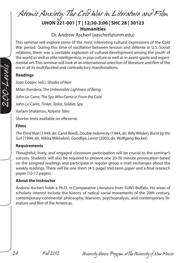*Atomic Anxiety: The Cold War in Literature and Film*

# **UHON 221-001 | T | 12:30-3:00 | SHC 28 | 30123 Humanities**

Dr. Andrew Ascherl (aascherl@unm.edu)

This seminar will explore some of the most interesting cultural expressions of the Cold War period. During this time of vacillation between tension and détente in U.S.-Soviet relations, there was a veritable explosion of cultural development among the youth of the world as well as elite intelligentsia; in pop culture as well as in avant-garde and experimental art. This seminar will look at an international selection of literature and film of the era in all its multifaceted and contradictory manifestations.

#### **Readings**

Joan Copjec (ed.), *Shades of Noir* Milan Kundera, *The Unbearable Lightness of Being* John Le Carre, *The Spy Who Came in From the Cold* John Le Carre, *Tinker, Tailor, Soldier, Spy* Varlam Shalamov, *Kolyma Tales* Shorter texts available on eReserve.

#### **Films**

*The Third Man* (1949, dir. Carol Reed), *Double Indemnity* (1944, dir. Billy Wilder), *Burnt by the Sun* (1994, dir. Nikita Mikhalov), *Goodbye, Lenin!* (2003, dir. Wolfgang Becker)

#### **Requirements**

Thoughtful, lively, and engaged classroom participation will be crucial to the seminar's success. Students will also be required to present one 20-30 minute provocation based on the assigned readings and participate in regular group e-mail exchanges about the weekly readings. There will be one short (4-5 page) mid-term paper and a final research paper (10-12 pages).

#### **About the Instructor**

Andrew Ascherl holds a Ph.D. in Comparative Literature from SUNY-Buffalo. His areas of scholarly interest include the history of radical social movements of the 20th century, contemporary continental philosophy, Marxism, psychoanalysis, and contemporary literature and film of the Americas.



*24 Fall 2012 University Honors Program at The University of New Mexico*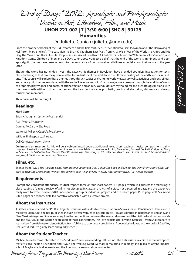*"End of Days" 2012: Apocalyptic and Post-Apocalyptic Visions in Art, Literature, Film, and Music*

**UHON 221-002 | T | 3:30-6:00 | SHC 8 | 30125 Humanities**

Dr. Juliette Cunico (juliette@unm.edu)

From the prophetic books of the Old Testament and the first century AD "Revelation" to Piers Plowman and "The Harrowing of Hell," from Mary Shelley's "The Last Man" to Brian K. Vaughan's Last Man, from H. G. Wells' War of the Worlds to A Boy and His Dog, the Mayan and Hopi Blue Star Prophecies, survivalist , and from A Canticle for Leibowitz to Watchmen, V for Vendetta, and Kingdom Come, Children of Men and 28 Days Later, apocalyptic (the belief that the end of the world is imminent) and postapocalyptic themes have been woven into the very fabric of our cultural sensibilities- especially now that we are in the year 2012..

Though the world has not ended – yet – the cataclysmic themes in Revelation have provided countless inspiration for texts, films, and images that prophesy or reveal the future history of the world and the ultimate destiny of the earth and its inhabitants. This course will explore these themes through such topics as changing world views, survivalist activities and sensibilities, and apocalyptic themes associated with the end of life as we know it. Our course journey takes us through the end times' world of prophets, playwrights, and poets, of science fiction and anime. Our guides are mythological and eschatological; along with them we wrestle with end times' theories and the treatment of same: prophetic, poetic and allegorical, visionary and violent, musical and memorial.

This course will be co-taught.

#### **Readings**

#### **Hard Copy:**

Brian K. Vaughan, *Last Man Vol. 1 and 2*

Alan Moore, *Watchmen*

Cormac McCarthy, *The Road*

Walter M. Miller, *A Canticle for Leibowitz*

William Shakespeare, *King Lear*

Dell Comics, *Kingdom Come*

**Online and on reserve:** As this will be a web-enhanced course, additional texts, short readings, musical compositions, paint-<br>ings and illustrations will be posted online and / or available on reserve including *Revelatio* W. Shelley, *The Last Man*; Alan Moore, *V for Vendetta*; *The Harrowing of Hell*; selections from *Piers Plowman C-Text,* Gounod's *Faust*, Wagner, *A Die Gotterdammerung*, *Dies Irae*.

#### **Films, etc.**

Scenes from AMC's *The Walking Dead; Terminator 2: Judgment Day; Gojira; The Book of Eli; Akira; The Day After; Atomic Café; Children of Men; The Grave of the Fireflies; The Seventh Seal; Reign of Fire; The Day After Tomorrow; 2012; The Quiet Earth* 

#### **Requirements**

Prompt and consistent attendance, mutual respect, three or four short papers (3-4 pages) which will address the following: a close reading of a text, a review of a film not discussed in class, an analysis of a piece not discussed in class, and the paper you really want to write!, oral report(s), independent group or individual project, and a research paper (6-10 pages PLUS a Works Cited page) or a report / detailed narrative associated with a creative project.

#### **About the Instructor**

Juliette Cunico received her Ph.D. in English Literature with a double concentration in Shakespeare / Renaissance Drama and in Medieval Literature. She has published in such diverse venues as Bosque Tracks, Private Libraries in Renaissance England, and New Mexico Magazine. She loves to explore the connections between the seen and unseen and the civilized and natural worlds and the oral, visual, and written expression of those connections. This love explains her diverse interests -- from Shakespeare to ice hockey, from fishing to science fiction, from folklore to doomsday predictions. Above all, she loves, in the words of Geoffrey Chaucer's Clerk, "to gladly learn and gladly teach."

#### **About the Student Teacher**

Michael Louie became interested in the "end times" ever since reading Left Behind: The Kids series as a child. His favorite apocalyptic visions include Revelation and AMC's The Walking Dead. Michael is majoring in Biology and plans to attend medical school. Maybe medical interests and the Apocalypse are somehow connected.

*University Honors Program at The University of New Mexico Fall 2012 25*

*200-Levels*

200-Levels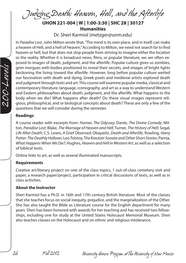*Judging Death: Heaven, Hell, and the Afterlife*

**UHON 221-004 | W | 1:00-3:30 | SHC 28 | 30127 Humanities**

Dr. Sheri Karmiol (metzger@unm.edu)

In *Paradise Lost*, John Milton wrote that, "The mind is its own place, and in itself, can make a heaven of Hell, and a hell of Heaven." According to Milton, we need not search far to find heaven or hell, but that does not stop people from striving to imagine either the location or the reality. Whether it is broadcast news, films, or popular literature, we are often exposed to images of death, judgment, and the afterlife. Popular culture gives us zombies, grim morgues with bodies positioned to reveal their secrets, and images of bright lights beckoning the living toward the afterlife. However, long before popular culture wetted our fascination with death and dying, Greek poets and medieval artists explored death and judgment through texts and art. This course will examine popular media, classical and contemporary literature, language, iconography, and art as a way to understand Western and Eastern philosophies about death, judgment, and the afterlife. What happens to the body when we die? What happens after death? Do these visual images represent religious, philosophical, and or biological concepts about death? These are only a few of the questions that we will consider during the semester.

#### **Readings**

A course reader with excerpts from: Homer, *The Odyssey*; Dante, *The Divine Comedy*; Milton, *Paradise Lost*; Blake, *The Marriage of Heaven and Hell*; Turner, *The History of Hell*; Segal, *Life After Death*; C.S. Lewis, *A Grief Observed*; Obayashi, *Death and Afterlife*, Rowling, *Harry Potter: The Deathly Hallows*; Leo Tolstoy, T*he Kreutzer Sonata and Other Short Stories*; Parnia, *What Happens When We Die?*; Hughes, *Heaven and Hell in Western Art*; as well as a selection of biblical texts.

Online links to art, as well as several illuminated manuscripts.

#### **Requirements**

Creative art/literary project on one of the class topics, 1 out-of-class cemetery visit and paper, a research paper/project, participation in critical discussions of texts, as well as in class activities.

#### **About the Instructor**

Sheri Karmiol has a Ph.D. in 16th and 17th century British literature. Most of the classes that she teaches focus on social inequity, prejudice, and the marginalization of the Other. She has also taught the Bible as Literature course for the English department for many years. Sheri has been honored with awards for her teaching and has received two fellowships, including one for study at the United States Holocaust Memorial Museum. Sheri also teaches classes on the Holocaust and on ethnic and religious intolerance.



*26 Fall 2012 University Honors Program at The University of New Mexico*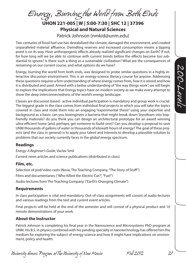*Energy, Burning the World from Both Ends*

**UHON 221-005 | W | 5:00-7:30 | SHC 12 | 37396 Physical and Natural Sciences** 

Patrick Johnson (nmkid@unm.edu)

Two centuries of fossil fuel use has destabilized the climate, damaged the environment, and created unparalleled material affluence. Dwindling reserves and increased consumption means a tipping point is on its way. Have anthropogenic effects already realized significant changes on Earth? If not, for how long will we be able to continue with current trends before the effects become too substantial to ignore? Is there such a thing as a sustainable civilization? What are the consequences of remaining on our current course, and what options do we have?

Energy, burning the world from both ends, was designed to probe similar questions in a highly interactive discussion environment. This is an energy-science literacy course for anyone. Addressing these questions requires a firm understanding of where energy comes from, how it is stored and how it is distributed and used. Armed with a better understanding of "the way things work", we will begin to explore the implications that Energy topics have on modern society as we make every attempt to show the deep interconnectedness of the world's energy landscape.

Classes are discussion based - active individual participation is mandatory and group work is crucial. The biggest grade in the class comes from individual final projects in which you will take the topics covered in class and mold them into an engaging "experimental thesis" using your expertise and background as a basis: can you bioengineer a bacteria that might break down Styrofoam into bopfriendly materials? do you think you can design an architectural prototype for an award winning ultra-efficient home (and, perhaps, get someone to build one)? Can you develop o proposal to save UNM thousands of gallons of water or thousands of kilowatt-hours of energy? The goal of these projects (and the class in general) is to apply your talent and interests to develop a plausible solution to problems that our society currently faces in the global energy spectrum.

#### **Readings**

*Energy: A Beginner's Guide*, Vaclav Smil

Current news articles and science publications (distributed in class)

#### **Film, etc.**

Selection of pod/video casts (Nova, The Teaching Company, "The Story of Stuff") Films and documentaries ("Who Killed the Electric Car?", "Fuel") Audio-lectures from The Teaching Company ("Earth's Changing Climate")

#### **Requirements**

In class participation is vital and mandatory. Out-of-class assignments will consist of audio-lectures and various readings from the text and current event articles.

Final projects will be held at the end of the semester and will consist of a physical product and 10 minute demonstrations of your work.

### **About the Instructor**

Patrick Johnson is completing his final year in the Nanoscience and Microsystems PhD program at UNM. His B.S. in physics combined with his pending specialty in nanotechnology has offered him the medium for exploring the subject of energy science and how it might have implications on environment, policy and health.

*University Honors Program at The University of New Mexico Fall 2012 27*

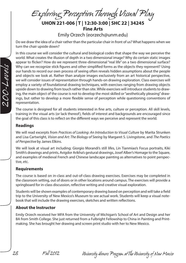*Exploring Perception Through Visual Play* **UHON 221-006 | T | 12:30-3:00 | SHC 22 | 34245 Fine Arts**

Emily Orzech (eorzech@unm.edu)

Do we draw the idea of a chair rather than the particular chair in front of us? What happens when we turn the chair upside down?

In this course we will consider the cultural and biological codes that shape the way we perceive the world. What creates the illusion of depth in a two dimensional image? Why do certain static images appear to flicker? How do we represent three-dimensional "real life" on a two dimensional surface? Why can we recognize stick figures and other simplified forms as the objects they represent? Using our hands to record our own process of seeing often reveals hidden assumptions about the people and objects we look at. Rather than analyze images exclusively from an art historical perspective, we will consider issues of representation through hands-on drawing exploration. Class exercises will employ a variety of foundational drawing techniques, with exercises ranging from drawing objects upside down to drawing from touch rather than site. While exercises will introduce students to drawing, the main object of the course is not to develop the most skilled or "aesthetically pleasing" drawings, but rather to develop a more flexible sense of perception while questioning conventions of representation.

The course is designed for all students interested in fine arts, culture or perception. All skill levels, training in the visual arts (or lack thereof), fields of interest and backgrounds are encouraged since the goal of this class is to reflect on the different ways we perceive and represent the world.

#### **Readings**

We will read excerpts from *Practices of Looking: An Introduction to Visual Culture* by Marita Strunken and Lisa Cartwright, *Vision and Art: The Biology of Seeing* by Margaret S. Livingstone, and *The Poetics of Perspective* by James Elkins.

We will look at visual art including: Giorgio Morandi's still lifes, Lin Tianmiao's Focus portraits, Kiki Smith's drawings and prints, Avigdor Arikha's gestural drawings, Josef Alber's Homage to the Square, and examples of medieval French and Chinese landscape painting as alternatives to point perspective, etc.

#### **Requirements**

The course is based on in-class and out-of-class drawing exercises. Exercises may be completed in the classroom setting, out of doors or in other locations around campus. The exercises will provide a springboard for in-class discussion, reflective writing and creative visual exploration.

Students will be shown examples of contemporary drawing based on perception and will take a field trip to the University of New Mexico's Museum to see actual work. Students will keep a visual notebook that will include the drawing exercises, sketches and written reflections.

#### **About the Instructor**

Emily Orzech received her MFA from the University of Michigan's School of Art and Design and her BA from Smith College. She just returned from a Fulbright Fellowship to China in Painting and Printmaking. She has brought her drawing and screen print studio with her to New Mexico.



*28 Fall 2012 University Honors Program at The University of New Mexico*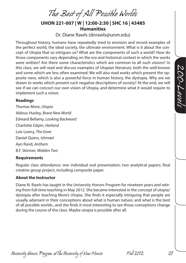*The Best of All Possible Worlds*

**UHON 221-007 | W | 12:00-2:30 | SHC 16 | 43485 Humanities**

Dr. Diane Rawls (dnrawls@unm.edu)

Throughout history, humans have repeatedly tried to envision and record examples of the perfect world, the ideal society, the ultimate environment. What is it about the concept of Utopia that so intrigues us? What are the components of such a world? How do those components vary depending on the era and historical context in which the works were written? Are there some characteristics which are common to all such visions? In this class, we will read and discuss examples of Utopian literature, both the well-known and some which are less often examined. We will also read works which present the opposite view, which is also a powerful force in human history, the dystopia. Why are we drawn to works which present such negative descriptions of society? At the end, we will see if we can concoct our own vision of Utopia, and determine what it would require to implement such a vision.

#### **Readings**

Thomas More, *Utopia* Aldous Huxley, *Brave New World* Edward Bellamy, *Looking Backward* Charlotte Gilpin, *Herland* Lois Lowry, *The Giver* Daniel Quinn, *Ishmael* Ayn Rand, *Anthem* B.F. Skinner, *Walden Two*

#### **Requirements**

Regular class attendance; one individual oral presentation; two analytical papers; final creative group project, including composite paper.

#### **About the Instructor**

Diane N. Rawls has taught in the University Honors Program for nineteen years and retiring from full-time teaching in May 2012. She became interested in the concept of utopia/ dystopia after teaching More's Utopia. She finds it especially intriguing that people are usually adamant in their conceptions about what is human nature, and what is the best of all possible worlds...and she finds it most interesting to see those conceptions change during the course of the class. Maybe utopia is possible after all.

200-Levels *200-Levels*

*University Honors Program at The University of New Mexico Fall 2012 29*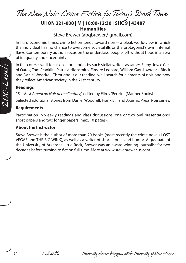*The New Noir: Crime Fiction for Today's Dark Times*

# **UHON 221-008 | M | 10:00-12:30 | SHC 9 | 43487 Humanities**

Steve Brewer (abqbrewer@gmail.com)

In hard economic times, crime fiction tends toward noir -- a bleak world-view in which the individual has no chance to overcome societal ills or the protagonist's own internal flaws. Contemporary authors focus on the underclass, people left without hope in an era of inequality and uncertainty.

In this course, we'll focus on short stories by such stellar writers as James Ellroy, Joyce Carol Oates, Tom Franklin, Patricia Highsmith, Elmore Leonard, William Gay, Lawrence Block and Daniel Woodrell. Throughout our reading, we'll search for elements of noir, and how they reflect American society in the 21st century.

#### **Readings**

*"The Best American Noir of the Century,"* edited by Ellroy/Penzler (Mariner Books)

Selected additional stories from Daniel Woodrell, Frank Bill and Akashic Press' Noir series.

#### **Requirements**

Participation in weekly readings and class discussions, one or two oral presentations/ short papers and two longer papers (max. 10 pages).

#### **About the Instructor**

Steve Brewer is the author of more than 20 books (most recently the crime novels LOST VEGAS and THE BIG WINK), as well as a writer of short stories and humor. A graduate of the University of Arkansas-Little Rock, Brewer was an award-winning journalist for two decades before turning to fiction full-time. More at www.stevebrewer.us.com.

*30 Fall 2012 University Honors Program at The University of New Mexico*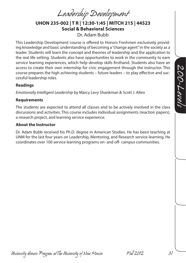*Leadership Development*

**UHON 235-002 | T R | 12:30-1:45 | MITCH 215 | 44523 Social & Behavioral Sciences** Dr. Adam Bubb

This Leadership Development course is offered to Honors Freshmen exclusively providing knowledge and basic understanding of becoming a "change agent" in the society as a leader. Students will learn the concept and theories of leadership and the application to the real life setting. Students also have opportunities to work in the community to earn service learning experiences, which help develop skills firsthand. Students also have an access to create their own internship for civic engagement through the instructor. This course prepares the high achieving students – future leaders – to play effective and successful leadership roles.

#### **Readings**

*Emotionally Intelligent Leadership* by Marcy Levy Shankman & Scott J. Allen

#### **Requirements**

The students are expected to attend all classes and to be actively involved in the class discussions and activities. This course includes individual assignments (reaction papers), a research project, and learning service experience.

#### **About the Instructor**

Dr. Adam Bubb received his Ph.D. degree in American Studies. He has been teaching at UNM for the last four years on Leadership, Mentoring, and Research service-learning. He coordinates over 100 service learning programs on- and off- campus communities.

200-Levels *200-Levels*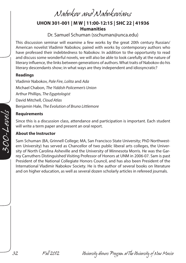*Nabokov and Nabokovians*

# **UHON 301-001 | M W | 11:00-12:15 | SHC 22 | 41936 Humanities**

Dr. Samuel Schuman (sschuman@unca.edu)

This discussion seminar will examine a few works by the great 20th century Russian/ American novelist Vladimir Nabokov, paired with works by contemporary authors who have professed their indebtedness to Nabokov. In addition to the opportunity to read and discuss some wonderful novels, we will also be able to look carefully at the nature of literary influence, the links between generations of authors. What traits of Nabokov do his literary descendants show; in what ways are they independent and idiosyncratic?

#### **Readings**

Vladimir Nabokov, *Pale Fire*, *Lolita* and *Ada* Michael Chabon, *The Yiddish Policemen's Union* Arthur Phillips, *The Egyptologist* David Mitchell, *Cloud Atlas* Benjamin Hale, *The Evolution of Bruno Littlemore*

#### **Requirements**

Since this is a discussion class, attendance and participation is important. Each student will write a term paper and present an oral report.

#### **About the Instructor**

Sam Schuman (BA, Grinnell College; MA, San Francisco State University; PhD Northwestern University) has served as Chancellor of two public liberal arts colleges, the University of North Carolina Asheville and the University of Minnesota Morris. He was the Garrey Carruthers Distinguished Visiting Professor of Honors at UNM in 2006-07. Sam is past President of the National Collegiate Honors Council, and has also been President of the International Vladimir Nabokov Society. He is the author of several books on literature and on higher education, as well as several dozen scholarly articles in refereed journals.

*32 Fall 2012 University Honors Program at The University of New Mexico*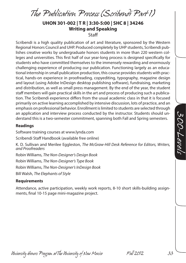*The Publication Process (Scribendi Part 1)*

### **UHON 301-002 | T R | 3:30-5:00 | SHC 8 | 34246 Writing and Speaking Staff**

Scribendi is a high quality publication of art and literature, sponsored by the Western Regional Honors Council and UHP. Produced completely by UHP students, Scribendi publishes creative works by undergraduate honors students in more than 220 western colleges and universities. This first half of our year-long process is designed specifically for students who have committed themselves to the immensely rewarding and enormously challenging experience of producing our publication. Functioning largely as an educational internship in small publication production, this course provides students with practical, hands-on experience in proofreading, copyediting, typography, magazine design and layout (using Adobe InDesign desktop publishing software), fundraising, marketing and distribution, as well as small press management. By the end of the year, the student staff members will gain practical skills in the art and process of producing such a publication. The Scribendi experience differs from the usual academic class in that it is focused primarily on active learning accomplished by intensive discussion, lots of practice, and an emphasis on professional behavior. Enrollment is limited to students are selected through an application and interview process conducted by the instructor. Students should understand this is a two-semester commitment, spanning both Fall and Spring semesters.

#### **Readings**

Software training courses at www.lynda.com Scribendi Staff Handbook (available free online)

K. D. Sullivan and Merilee Eggleston, *The McGraw-Hill Desk Reference for Editors, Writers, and Proofreaders*

Robin Williams, *The Non-Designer's Design Book* 

Robin Williams, *The Non-Designer's Type Book*

Robin Williams, *The Non-Designer's InDesign Book*

Bill Walsh, *The Elephants of Style*

#### **Requirements**

Attendance, active participation, weekly work reports, 8-10 short skills-building assignments, final 10-15 page mini-magazine project.

300-Levels *300-Levels*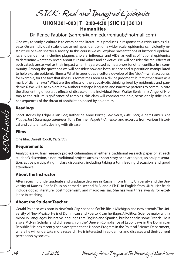*SICK: Real and Imagined Epidemics* **UHON 301-003 | T | 2:00-4:30 | SHC 12 | 30131** 

#### **Humanities** Dr. Renee Faubion (sanren@unm.edu/renfaub@hotmail.com)

One way to study a culture is to examine the literature it produces in response to a crisis such as disease. On an individual scale, disease reshapes identity; on a wider scale, epidemics can violently restructure or even shatter a society. In this course we will explore presentations of historical epidemics and pandemics (including plagues, cholera, influenza, and AIDS) as well as of fictional epidemics to determine what they reveal about cultural values and anxieties. We will consider the real effects of such cataclysms as well as their impact when they are used as metaphors for other conflicts in a community. Among the questions we will consider: how are both science and superstition manipulated to help explain epidemic illness? What images does a culture develop of the "sick"—what accounts, for example, for the fact that illness is sometimes seen as a divine judgment, but at other times as a mark of divine favor? What are the effects of the apocalyptic thinking bred by epidemics and pandemics? We will also explore how authors reshape language and narrative patterns to communicate the disorienting or ecstatic effects of disease on the individual. From Walter Benjamin's Angel of History to the cultural significance of zombies, this class will consider the epic, occasionally ridiculous consequences of the threat of annihilation posed by epidemics.

#### **Readings**

Short stories by Edgar Allan Poe; Katherine Anne Porter, *Pale Horse, Pale Rider*; Albert Camus, *The Plague*; José Saramago, *Blindness*; Tony Kushner, *Angels in America;* and excerpts from various historical and cultural texts dealing with disease.

#### **Films**

One film: Darrell Roodt, *Yesterday*

#### **Requirements**

Analytic essay; final research project culminating in either a traditional research paper or, at each student's discretion, a non-traditional project such as a short story or an art object; an oral presentation; active participating in class discussion, including taking a turn leading discussion; and good attendance.

#### **About the Instructor**

After receiving undergraduate and graduate degrees in Russian from Trinity University and the University of Kansas, Renée Faubion earned a second M.A. and a Ph.D. in English from UNM. Her fields include gothic literature, postmodernism, and magic realism. She has won three awards for excellence in teaching.

#### **About the Student Teacher**

Gerald Polanco was born in New York City, spent half of his life in Michigan and now attends The University of New Mexico. He is of Dominican and Puerto Rican heritage. A Political Science major with a minor in Languages, his native languages are English and Spanish, but he speaks some French. He is also a McNair Scholar and did research on the "Uneven Compliance of Labor Laws in the Dominican Republic." He has recently been accepted to the Honors Program in the Political Science Department, where he will undertake more research. He is interested in epidemics and diseases and their current perception by society.

*34 Fall 2012 University Honors Program at The University of New Mexico*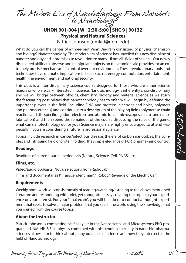*The Modern Era of Nanotechnology: From Nanobots to Nanobiology*

**UHON 301-004 | W | 2:30-5:00 | SHC 9 | 30132 Physical and Natural Sciences**

Patrick Johnson (nmkid@unm.edu)

What do you call the center of a three-part Venn Diagram consisting of physics, chemistry and biology? Nanotechnology! The modern era of science has unveiled this new discipline of nanotechnology and it promises to revolutionize many –if not all- fields of science. Our newly discovered ability to observe and manipulate objects on the atomic scale provides for an extremely precise mechanism of control over our environment. These revolutionary tools and techniques have dramatic implications in fields such as energy, computation, entertainment, health, the environment and national security.

This class is a inter-disciplinary science course designed for those who are either science majors or who are very interested in science. Nanotechnology is inherently cross-disciplinary and we will bridge between physics, chemistry, biology and material science as we study the fascinating possibilities that nanotechnology has to offer. We will begin by defining the important players in the field (including DNA and proteins, electrons and holes, polymers and pharmaceuticals) and continue into a description of the playing field (polymerase chain reaction and site specific ligation, electron- and atomic-force- microscopes, micro- and nanofabrication) and then spend the remainder of the course discussing the rules of the game: what can nanotechnology do for you? Science majors are highly encouraged to attend –especially if you are considering a future in professional science.

Topics include research in cancer/infectious disease, the era of carbon nanotubes, the complex and intriguing field of protein folding, the simple elegance of PCR, pharma-mind control.

#### **Readings**

Readings of current journal periodicals (Nature, Science, Cell, PNAS, etc.)

#### **Films, etc.**

Video/audio podcasts (Nova, selections from RadioLab) Films and documentaries ("Transcendent man", "iRobot, "Revenge of the Electric Car")

#### **Requirements**

Weekly homework will consist mostly of reading/watching/listening to the above mentioned literature and responding with brief, yet thoughtful essays relating the topic to your experience or your interest. For your "final exam", you will be asked to conduct a thought experiment that seeks to solve a major problem that you see in the world using the knowledge that you gained from the course topics.

#### **About the Instructor**

Patrick Johnson is completing his final year in the Nanoscience and Microsystems PhD program at UNM. His B.S. in physics combined with his pending specialty in nano-bio-pharmasciences allows him to think about many branches of science and how they intersect in the field of Nanotechnology.

*University Honors Program at The University of New Mexico Fall 2012 35*

*300-Levels*

300-Levels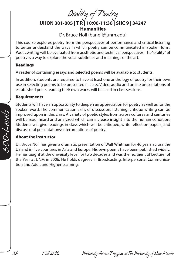*Orality of Poetry*

**UHON 301-005 | T R | 10:00-11:30 | SHC 9 | 34247 Humanities** Dr. Bruce Noll (banoll@unm.edu)

This course explores poetry from the perspectives of performance and critical listening to better understand the ways in which poetry can be communicated in spoken form. Poeticwriting will be evaluated from aesthetic and technical perspectives. The "orality" of poetry is a way to explore the vocal subtleties and meanings of the art.

#### **Readings**

A reader of containing essays and selected poems will be available to students.

In addition, students are required to have at least one anthology of poetry for their own use in selecting poems to be presented in class. Video, audio and online presentations of established poets reading their own works will be used in class sessions.

#### **Requirements**

Students will have an opportunity to deepen an appreciation for poetry as well as for the spoken word. The communication skills of discussion, listening, critique writing can be improved upon in this class. A variety of poetic styles from across cultures and centuries will be read, heard and analyzed which can increase insight into the human condition. Students will give readings in class which will be critiqued, write reflection papers, and discuss oral presentations/interpretations of poetry.

#### **About the Instructor**

Dr. Bruce Noll has given a dramatic presentation of Walt Whitman for 40 years across the US and in five countries in Asia and Europe. His own poems have been published widely. He has taught at the university level for two decades and was the recipient of Lecturer of the Year at UNM in 2006. He holds degrees in Broadcasting, Interpersonal Communication and Adult and Higher Learning.

*36 Fall 2012 University Honors Program at The University of New Mexico*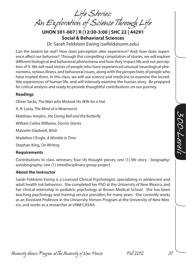*Life Stories: An Exploration of Science Through Life*

**UHON 301-007 | R |12:30-3:00 | SHC 22 | 44291 Social & Behavioral Sciences**

Dr. Sarah Feldstein Ewing (swfeld@unm.edu)

Can the bizarre be real? How does perception alter experience? And, how does experience affect our behavior? Through this compelling compilation of stories, we will explore different biological and behavioral phenomena and how they impact life and our perception of it. We will read stories of people who have experienced unusual neurological phenomena, serious illness, and behavioral issues, along with the perspectives of people who have treated them. In this class, we will use science and medicine to examine the incredible experiences of human life, and will intensely examine the human story. Be prepared for critical analysis and ready to provide thoughtful contributions on our journey.

#### **Readings**

Oliver Sacks, *The Man who Mistook His Wife for a Hat* A. R. Luria, *The Mind of a Mnemonist* Matthieu Amalric, *the Diving Bell and the Butterfly* William Carlos Williams, *Doctor Stories* Malcolm Gladwell, *Blink* Madeline L'Engle, *A Wrinkle in Time* Stephan King, *On Writing*

#### **Requirements**

Contributions to class seminars; four (4) thought pieces; one (1) life story - biography/ autobiography; one (1) interdisciplinary group project.

#### **About the Instructor**

Sarah Feldstein Ewing is a Licensed Clinical Psychologist, specializing in adolescent and adult health risk behaviors. She completed her PhD at the University of New Mexico, and her clinical internship in pediatric psychology at Brown Medical School. She has been teaching psychology and training service providers for many years. She currently works as an Assistant Professor in the University Honors Program at the University of New Mexico, and works as a researcher at UNM CASAA.

300-Levels *300-Levels*

*University Honors Program at The University of New Mexico Fall 2012 37*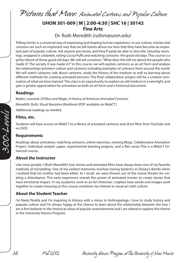*Pictures that Move: Animated Cartoons and Popular Culture*

# **UHON 301-009 | M | 2:00-4:30 | SHC 16 | 30142 Fine Arts**

Dr. Ruth Meredith (ruthm@unm.edu)

Telling stories is a universal way of expressing and shaping human experience. In our culture, movies and cartoons are such an important way that we tell stories about our lives that they have become an important part of popular culture. Ask anyone you know, and they'll easily be able to describe Saturday mornings, wrapped in a blanket, eating Cocoa Puffs and watching cartoons- the good old days. This course is a gritty reboot of those good old days. We will ask ourselves, "What does this tell me about the people who made it? The society it was made in?" In this course, we will explore cartoons as an art form and analyze the relationships between culture and cartoons including examples of cartoons from around the world. We will watch cartoons, talk about cartoons, study the history of the medium as well as learning about different methods for creating animated pictures. The final collaborative project will be a creative summation of what we have learned. This class is an opportunity to explore an old medium in a new light, and gain a greater appreciation for animation as both an art form and a historical document.

#### **Readings**

Maltin, Leonard, *Of Mice and Magic: A History of American Animated Cartoons* Meredith, Ruth*, Visual Narrative Workbook* (PDF available on WebCT) Additional readings as needed.

#### **Films, etc.**

Students will have access on WebCT to a library of animated cartoons and short films from YouTube and on DVD.

#### **Requirements**

Readings about animation, watching cartoons, online exercises, viewing Blogs, Collaborative Animation Project, Individual analytic paper, experimental learning projects, and a film series This is a WebCT Enhanced course.

#### **About the Instructor**

Like most people, I (Ruth Meredith) love stories and animated films have always been one of my favorite methods of storytelling. One of my earliest memories involves having hysterics in Disney's Bambi when I realized that his mother had been killed. As I recall, we were thrown out of the movie theater for creating a disturbance. This early experience reveals the power of animated movies to create stories that have emotional impact. In my academic work as an Art Historian, I explore how words and images work together to create meaning so this course combines my interest in visual art with culture.

#### **About the Student Teacher**

I'm Nady Peralta and I'm majoring in History with a minor in Anthropology. I love to study history and popular culture and I'm always happy at the chance to learn about the relationship between the two. I am a firm believer in the historical value of popular entertainment and I am elated to explore this theme in the University Honors Program.

*38 Fall 2012 University Honors Program at The University of New Mexico*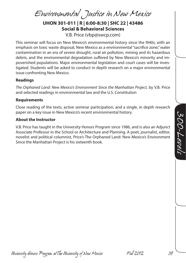*Environmental Justice in New Mexico*

**UHON 301-011 | R | 6:00-8:30 | SHC 22 | 43486 Social & Behavioral Sciences**

V.B. Price (vbp@swcp.com)

This seminar will focus on New Mexico's environmental history since the l940s, with an emphasis on toxic waste disposal, New Mexico as a environmental "sacrifice zone," water contamination in an era of severe drought, rural air pollution, mining and its hazardous debris, and the environmental degradation suffered by New Mexico's minority and impoverished populations. Major environmental legislation and court cases will be investigated. Students will be asked to conduct in depth research on a major environmental issue confronting New Mexico.

#### **Readings**

*The Orphaned Land: New Mexico's Environment Since the Manhattan Project*, by V.B. Price and selected readings in environmental law and the U.S. Constitution

#### **Requirements**

Close reading of the texts, active seminar participation, and a single, in depth research paper on a key issue in New Mexico's recent environmental history.

#### **About the Instructor**

V.B. Price has taught in the University Honors Program since 1986, and is also an Adjunct Associate Professor in the School or Architecture and Planning. A poet, journalist, editor, novelist and political columnist, Price's The Orphaned Land: New Mexico's Environment Since the Manhattan Project is his sixteenth book.

*University Honors Program at The University of New Mexico Fall 2012 39*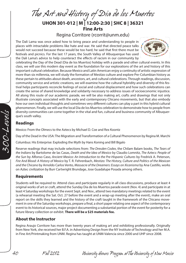*The Art and History of Dia de los Muertos*

# **UHON 301-012 | M | 12:00-2:30 | SHC 8 | 36321 Fine Arts**

# Regina Corritore (rcorrit@unm.edu)

The Dali Lama was once asked how to bring peace and understanding to people in places with intractable problems like hate and war. He said that directed peace talks would not succeed because these would be too hard; he said that first there must be festivals and picnics. For the last 17 years, the South Valley of Albuquerque has used the Dali Lama's advice to help counteract the effects of racism in our community by



celebrating the Day of the Dead (Dia de los Muertos) holiday with a parade and other cultural events. In this class, we will use this modern day event as the foundation for our explorations of the art and history of this important cultural celebration. Because Mexico and Latin American enjoy a continuity of artistic expression of more than six millennia, we will study the formation of Mestizo culture and explore Pre-Columbian history as these pertain to attitudes about death, ancestors, art, and cultural celebrations. Through readings, discussion, community service and artistic creations, we will examine how the cultural hybridity and diversity of this festival helps participants reconcile feelings of social and cultural displacement and how such celebrations can create the sense of shared knowledge and solidarity necessary to address issues of socioeconomic injustice. All along this route of our academic parade, we will be also making art, crafts and drawings that not only illustrate concepts associated with the early and contemporary Chicano movements, but that also embody how our own individual thoughts and sometimes very different cultures can play a part in this hybrid cultural phenomenon. Finally, we will use the local Dia de los Muertos celebration to demonstrate how to people from diversity communities can come together in the vital and fun, cultural and business community of Albuquerque's south valley.

### **Readings**

Mexico: From the Olmecs to the Aztecs by Michael D. Coe and Rex Koontz

Day of the Dead in the USA: The Migration and Transformation of a Cultural Phenomenon by Regina M. Marchi

Columbus: His Enterprise: Exploding the Myth by Hans Koning and Bill Bigalo

Reserve readings that may include selections from: *The Dresden Codex*, the Chilam Balam books, *The Tears of the Indians* by Bartolome de las Casas, *Death and the Idea of Mexico* by Claudio Lomnitz, *The Aztecs: People of the Sun* by Alfonso Caso, *Ancient Mexico: An Introduction to the Pre-Hispanic Cultures* by Fredrick A. Peterson, *Fire And Blood: A History of Mexico* by T. R. Fehrenbach, *Mestizo: The History, Culture and Politics of the Mexican and the Chicano* by Arnoldo Carlos Vento, *Massacre of the Dreamers: Essays on Xicanisma* by Ana Castillo, works on Aztec civilization by Burr Cartwright Brundage, Jose Guadalupe Posada among others.

### **Requirements**

Students will be required to: Attend class and participate regularly in all class discussions, produce at least 4 original works of art or craft, attend the Sunday Dia de los Muertos parade event (Nov. 4) and participate in at least 4 Saturday workshops for the event Sept. and Nov., attend two mandatory meetings related to the event (a rehearsal meeting the Sat. Oct. 27 before the event and a wrap-up meeting after the event), make an oral report on the skills they learned and the history of the craft taught in the framework of the Chicano movement in one of the Saturday workshops, prepare a final, a short paper relating one aspect of the contemporary event to its historical sources, major project documenting a substantial portion of the event for posterity for a future library collection or exhibit. **There will be a \$25 materials fee.**

### **About the Instructor**

Regina Araujo Corritore has more than twenty years of making art and exhibiting professionally. Originally from New York, she received her B.F.A. in Advertising Design from the NY Institute of Technology and her M.A. in Fine Art/Printmaking from UNM. Regina has taught at UNM-Valencia since 2000 and UHP since 2008.

*40 Fall 2012 University Honors Program at The University of New Mexico*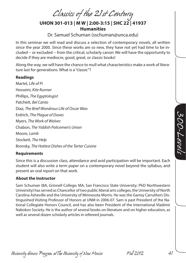*Classics of the 21st Century* **UHON 301-013 | M W | 2:00-3:15 | SHC 22 | 41937 Humanities**

Dr. Samuel Schuman (sschuman@unca.edu)

In this seminar we will read and discuss a selection of contemporary novels, all written since the year 2000. Since these works are so new, they have not yet had time to be included -- or excluded -- from the critical, scholarly canon: We will have the opportunity to decide if they are mediocre, good, great, or classic books!

Along the way, we will have the chance to mull what characteristics make a work of literature last for generations. What is a "classic"?

#### **Readings**

Martel, *Life of Pi* Hosseini, *Kite Runner* Phillips, *The Egyptologist*  Patchett, *Bel Canto* Diaz, *The Brief Wondrous Life of Oscar Wao*  Erdrich, *The Plague of Doves* Myers, *The Work of Wolves*  Chabon, *The Yiddish Policemen's Union*  Moore, *Lamb* Stockett, *The Help* Bronsky, *The Hottest Dishes of the Tarter Cuisine*

#### **Requirements**

Since this is a discussion class, attendance and avid participation will be important. Each student will also write a term paper on a contemporary novel beyond the syllabus, and present an oral report on that work.

#### **About the Instructor**

Sam Schuman (BA, Grinnell College; MA, San Francisco State University; PhD Northwestern University) has served as Chancellor of two public liberal arts colleges, the University of North Carolina Asheville and the University of Minnesota Morris. He was the Garrey Carruthers Distinguished Visiting Professor of Honors at UNM in 2006-07. Sam is past President of the National Collegiate Honors Council, and has also been President of the International Vladimir Nabokov Society. He is the author of several books on literature and on higher education, as well as several dozen scholarly articles in refereed journals.

SOO-Levels *300-Levels*

*University Honors Program at The University of New Mexico Fall 2012 41*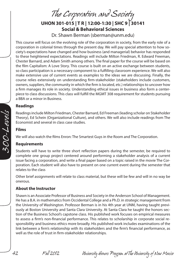*The Corporation and Society*

# **UHON 301-015 | T R | 12:00-1:30 | SHC 9 | 30141 Social & Behavioral Sciences**

Dr. Shawn Berman (sberman@unm.edu)

This course will focus on the evolving role of the corporation in society, from the early role of a corporation in colonial times through the present day. We will pay special attention to how society's expectations have changed and how business (and managerial) behavior has responded to these heightened expectations. Readings will include Milton Friedman, R. Edward Freeman, Chester Barnard, and Adam Smith among others. The final paper for the course will be based on the film Capitalism: A Love Story. This course is built on an active exchange between students, so class participation is a necessary component to a fulfilling classroom experience. We will also make extensive use of current events as examples to the ideas we are discussing. Finally, the course relies extensively on understanding firm-stakeholder (stakeholders include customers, owners, suppliers, the community in which the firm is located, etc.) relationships to uncover how a firm manages its role in society. Understanding ethical issues in business also form a centerpiece to class discussions. This class will fulfill the MGMT 308 requirement for students pursuing a BBA or a minor in Business.

#### **Readings**

Readings include Milton Friedman, Chester Barnard, Ed Freeman (leading scholar on Stakeholder Theory), Ed Schein (Organizational Culture), and others. We will also include readings from The Economist and several in class case studies.

#### **Films**

We will also watch the films Enron: The Smartest Guys in the Room and The Corporation.

#### **Requirements**

Students will have to write three short reflection papers during the semester, be required to complete one group project centered around performing a stakeholder analysis of a current issue facing a corporation, and write a final paper based on a topic raised in the movie The Corporation. Each student will also have to present on one current event during the semester that relates to the class

Other brief assignments will relate to class material, but these will be few and will in no way be onerous.

### **About the Instructor**

Shawn is an Associate Professor of Business and Society in the Anderson School of Management. He has a B.A. in mathematics from Occidental College and a Ph.D. in strategic management from the University of Washington. Professor Berman is in his 4th year at UNM, having taught previously at Boston University and Santa Clara University. At Santa Clara he taught the honors section of the Business School's capstone class. His published work focuses on empirical measures to assess a firm's non-financial performance. This relates to scholarship in corporate social responsibility and business ethics more broadly. His published work includes examinations of the link between a firm's relationship with its stakeholders and the firm's financial performance, as well as the role of trust in firm-stakeholder relationships.

*42 Fall 2012 University Honors Program at The University of New Mexico*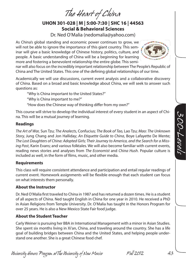*The Heart of China*

# **UHON 301-028 | M | 5:00-7:30 | SHC 16 | 44563 Social & Behavioral Sciences**

Dr. Ned O'Malia (nedomalia@yahoo.com)

As China's global standing and economic power continues to grow, we will not be able to ignore the importance of this giant country. This seminar will give a basic knowledge of Chinese history, politics, culture, and people. A basic understanding of China will be a beginning for learning more and fostering a benevolent relationship the entire globe. This semi-



nar will also focus on the incredibly important relationship between The People's Republic of China and The United States. This one of the defining global relationships of our time.

Academically we will use discussions, current event analysis and a collaborative discovery of China. Based on a broad and basic knowledge about China, we will seek to answer such questions as:

"Why is China important to the United States?"

"Why is China important to me?"

"How does the Chinese way of thinking differ from my own?"

This course will strive to develop the individual interest of every student in an aspect of China. This will be a mutual journey of learning.

### **Readings**

*The Art of War,* Sun Tzu; *The Analects*, Confucius; *The Book of Tao,* Lao Tzu; *Mao: The Unknown Story,* Jung Chang and Jon Halliday; *An Etiquette Guide to China*, Boye Lafayette De Mente; *The Lost Daughters of China: Adopted Girls; Their Journey to America, and the Search for a Missing Past*, Karin Evans; and various folktales. We will also become familiar with current events, reading news stories and analyses from *The Economist* and *China Hush*. Popular culture is included as well, in the form of films, music, and other media.

### **Requirements**

This class will require consistent attendance and participation and entail regular readings of current event. Homework assignments will be flexible enough that each student can focus on what interests them personally.

### **About the Instructor**

Dr. Ned O'Malia first traveled to China in 1987 and has returned a dozen times. He is a student of all aspects of China. Ned taught English in China for one year in 2010. He received a PhD in Asian Religions from Temple University. Dr. O'Malia has taught in the Honors Program for over 25 years. He is also a New Mexico State Fair food judge.

# **About the Student Teacher**

Carly Weiner is pursuing her BBA in International Management with a minor in Asian Studies. She spent six months living in Xi'an, China, and traveling around the country. She has a life goal of building bridges between China and the United States, and helping people understand one another. She is a great Chinese food chef.

*University Honors Program at The University of New Mexico Fall 2012 43*

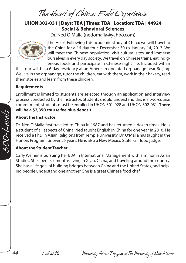*The Heart of China: Field Experience*

# **UHON 302-031 | Days: TBA | Times: TBA | Location: TBA | 44924 Social & Behavioral Sciences**

Dr. Ned O'Malia (nedomalia@yahoo.com)



The Heart Following this academic study of China; we will travel to the China for a 16 day tour, December 30 to January 14, 2013. We will meet the Chinese population, visit cultural sites, and immerse ourselves in every day society. We travel on Chinese trains, eat indigenous foods and participate in Chinese night life. Included within

this tour will be a 6 day residency at an American operated orphanage near Beijing. We live in the orphanage, tutor the children, eat with them, work in their bakery, read them stories and learn from these children.

#### **Requirements**

Enrollment is limited to students are selected through an application and interview process conducted by the instructor. Students should understand this is a two-course commitment, students must be enrolled in UHON 301-028 and UHON 302-031. **There will be a \$2,350 course fee plus deposit.**

#### **About the Instructor**

Dr. Ned O'Malia first traveled to China in 1987 and has returned a dozen times. He is a student of all aspects of China. Ned taught English in China for one year in 2010. He received a PhD in Asian Religions from Temple University. Dr. O'Malia has taught in the Honors Program for over 25 years. He is also a New Mexico State Fair food judge.

#### **About the Student Teacher**

Carly Weiner is pursuing her BBA in International Management with a minor in Asian Studies. She spent six months living in Xi'an, China, and traveling around the country. She has a life goal of building bridges between China and the United States, and helping people understand one another. She is a great Chinese food chef.

*44 Fall 2012 University Honors Program at The University of New Mexico*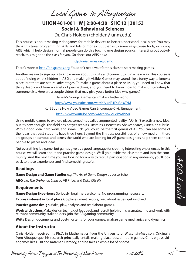*Local Games in Albuquerque*

# **UHON 401-001 | W | 2:00-4:30 | SHC 12 | 30153 Social & Behavioral Sciences** Dr. Chris Holden (cholden@unm.edu)

This course is about making videogames for mobile devices to better understand local place. You may think this takes programming skills and lots of money. But thanks to some easy-to-use tools, including ARIS which I help design, normal people can do this too. If game design sounds interesting but out-ofreach, this might be the class for you. Go check out ARIS now:

#### http://arisgames.org/demo

There's more at http://arisgames.org. You don't need wait for this class to start making games.

Another reason to sign up is to know more about this city and connect to it in a new way. This course is about finding what's hidden in ABQ and making it visible. Games may sound like a funny way to know a place, but there are natural advantages. To make a game about a place or issue, you need to know that thing deeply and from a variety of perspectives, and you need to know how to make it interesting to someone else. Here are a couple videos that may give you a better idea why games?

Jane McGonigal Games can make a better world:

http://www.youtube.com/watch?v=dE1DuBesGYM

Kurt Squire How Video Games Can Encourage Civic Engagement:

http://www.youtube.com/watch?v=JcGdh9AbIS8

Using mobile games to explore place, sometimes called augmented reality (AR), isn't exactly a new idea, but it's new enough. This field has not yet seen its Einsteins, Eisensteins, Shakespeares, Curies, or Kubriks. With a good idea, hard work, and some luck, you could be the first genius of AR. You can see some of the ideas that past students have tried here. Beyond the limitless possibilities of a new medium, there are groups on campus and across the world who are looking for AR game designers help them connect people to places and ideas.

Not everything is a game, but games give us a good language for creating interesting experiences. In this course, we will learn about and practice game design. We'll go outside the classroom and into the community. And the next time you are looking for a way to recruit participation in any endeavor, you'll look back to those experiences and find something useful.

#### **Readings**

**Game Design and Game Studies** e.g. *The Art of Game Design* by Jesse Schell

**ABQ** e.g. *The Orphaned Land* by VB Price, and *Duke City Fix*

#### **Requirements**

**Game Design Experience** Seriously, beginners welcome. No programming necessary.

**Express interest in local place** Go places, meet people, read about issues, get involved.

**Practice game design** Make, play, analyze, and read about games.

**Work with others** Make design teams, get feedback and recruit help from classmates, find and work with relevant community stakeholders, join the AR gaming community.

Write Design documents and post-mortems for your games, analyze game mechanics and dynamics.

#### **About the Instructor**

Chris Holden received his Ph.D. in Mathematics from the University of Wisconsin-Madison. Originally from Albuquerque, his research principally entails making place-based mobile games. Chris enjoys videogames like DDR and Katamari Damacy, and he takes a whole lot of photos.

*University Honors Program at The University of New Mexico Fall 2012 45*

*400-Levels*

ADD-Levels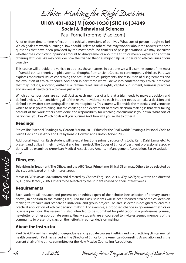*Ethics: Making the Right Decision*

# **UHON 401-002 | M | 8:00-10:30 | SHC 16 | 34249 Social & Behavioral Sciences** Paul Fornell (pfornell@aol.com)

All of us from time to time reflect on the ethical dimensions of our lives. What sort of person I ought to be? Which goals are worth pursuing? How should I relate to others? We may wonder about the answers to these questions that have been provided by the most profound thinkers of past generations. We may speculate whether their conflicting opinions amount to disagreements about the truth or merely expressions of their differing attitudes. We may consider how their varied theories might help us understand ethical issues of our own day.

This course will provide the vehicle to address these matters. In part one we will examine some of the most influential ethical theories in philosophical thought, from ancient Greece to contemporary thinkers. Part two explores theoretical issues concerning the nature of ethical judgments, the resolution of disagreements and the evolution of ethical theories. And, then in part three we will delve into contemporary ethical problems that may include; abortion, euthanasia, famine relief, animal rights, capital punishment, business practices and universal health care – to name just a few.

Which ethical positions are correct? Just as each member of a jury at a trial needs to make a decision and defend a view after considering all of the relevant evidence, so each inquirer needs to make a decision and defend a view after considering all the relevant opinions. This course will provide the materials and venue on which to base your thinking. But the challenge and excitement of ethical decision making is that after taking account of the work others have done, the responsibility for reaching conclusions is your own. What sort of person will you be? Which goals will you pursue? And, how will you relate to others?

#### **Readings**

Ethics: The Essential Readings by Gordon Marino, 2010 Ethics for the Real World: Creating a Personal Code to Guide Decisions in Work and Life by Ronald Howard and Clinton Korver, 2008

Additional Readings: Each student will select at least one primary source (Aristotle, Kant, Dalai Lama, etc.) to present and utilize in their individual and team project. The Codes of Ethics of pertinent professional associations will be examined (American Medical Association, American Management Association, Bar Association, etc.)

#### **Films, etc.**

Television: In Treatment, The Office, and the ABC News Prime time Ethical Dilemmas. Others to be selected by the students based on their interest areas.

Movies/DVDs: *Inside Job*, written and directed by Charles Ferguson, 2011, *Why We Fight*, written and directed by Eugene Jarecki, 2006. Others to be selected by the students based on their interest areas.

### **Requirements**

Each student will research and present on an ethics expert of their choice (see selection of primary source above.) In addition to the readings required for class, students will select a focused area of ethical decision making to research and prepare an individual and group project. The area selected is designed to lead to a practical application of ethical decision making. For example, a proposed change in government ethics or business practices. This research is also intended to be submitted for publication in a professional journal, newsletter or other appropriate source. Finally, students are encouraged to invite esteemed members of the community to present to class on their efforts in ethical decision making.

### **About the Instructor**

Paul David Fornell has taught undergraduate and graduate courses in ethics and is a practicing clinical mental health counselor. Paul has served as the Director of Ethics for the American Counseling Association and is the current chair of the ethics committee for the New Mexico Counseling Association.

400-Levels *400-Levels*

*46 Fall 2012 University Honors Program at The University of New Mexico*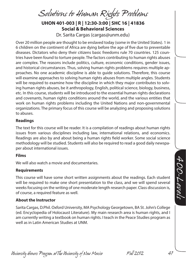*Solutions to Human Rights Problems*

**UHON 401-003 | R | 12:30-3:00 | SHC 16 | 41836 Social & Behavioral Sciences**

Dr. Sarita Cargas (cargas@unm.edu)

Over 20 million people are thought to be enslaved today (some in the United States). 1 in 6 children on the continent of Africa are dying before the age of five due to preventable diseases. Dictators who deny their citizens basic freedoms rule 70 countries. 125 countries have been found to torture people. The factors contributing to human rights abuses are complex. The reasons include politics, culture, economic conditions, gender issues, and historical circumstances. Thus, solving human rights problems requires multiple approaches. No one academic discipline is able to guide solutions. Therefore, this course will examine approaches to solving human rights abuses from multiple angles. Students will be required to examine how the discipline in which they major contributes to solving human rights abuses, be it anthropology, English, political science, biology, business, etc. In this course, students will be introduced to the essential human rights declarations and covenants, human rights conditions around the world, and the various entities that work on human rights problems including the United Nations and non-governmental organizations. The primary focus of this course will be analyzing and proposing solutions to abuses.

#### **Readings**

The text for this course will be reader. It is a compilation of readings about human rights issues from various disciplines including law, international relations, and economics. Readings are also by and about being a human rights field worker. Some social science methodology will be studied. Students will also be required to read a good daily newspaper about international issues.

#### **Films**

We will also watch a movie and documentaries.

#### **Requirements**

This course will have some short written assignments about the readings. Each student will be required to make one short presentation to the class, and we will spend several weeks focusing on the writing of one moderate length research paper. Class discussion is, of course, a required feature as well.

#### **About the Instructor**

Sarita Cargas, D.Phil. Oxford University, MA Psychology Georgetown, BA St. John's College (ed. Encyclopedia of Holocaust Literature). My main research area is human rights, and I am currently writing a textbook on human rights. I teach in the Peace Studies program as well as in Latin American Studies at UNM.

ADD-Levels *400-Levels*

*University Honors Program at The University of New Mexico Fall 2012 47*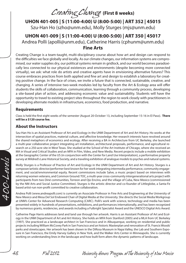*Creating Change* **(First 8 weeks)**

# **UHON 401-005 | S (11:00-4:00) U (8:00-5:00) | ART 352 | 45015**

Szu-Han Ho (szho@unm.edu), Molly Sturges (mjs@unm.edu)

### **UHON 401-009 | S (11:00-4:00) U (8:00-5:00) | ART 350 | 45017** Andrea Polli (apolli@unm.edu), Catherine Harris (cphunm@unm.edu) **Fine Arts**

Creating Change is a team-taught, multi-disciplinary course about how art and design can respond to the difficulties we face globally and locally. As our climate changes, our information systems are compromised, our water supplies dry, our political systems remain in gridlock, and our world becomes paradoxically less connected to our physical existences and environments (despite becoming more connected virtually), we ask: what role do artists and creative agents have in envisioning alternative futures? This course embraces practices from both applied and fine art and design to establish a laboratory for creating positive change. In the face of crises, we invite a future that is connected, sustainable, creative, and changing. A series of intensive two-week modules led by faculty from the Art & Ecology area will offer students the skills of collaboration, communication, learning through a community process, developing a site-based plan of action, and addressing economic value and sustainability. Students will have the opportunity to travel to existing project sites throughout the region to work closely with practitioners in developing alternate models in infrastructure, economics, food production, and narrative.

#### **Requirements**

Class is held the first eight weeks of the semester (August 20-October 13, including September 15-16 in El Paso). **There will be a \$120 course fee.**

#### **About the Instructors**

Szu-Han Ho is an Assistant Professor of Art and Ecology in the UNM Department of Art and Art History. Ho works at the intersection of spatial practices, material culture, and affective knowledge. Her research interests have revolved around the shared metaphors of economics and ecology. After receiving a BA in Architecture from UC Berkeley, she launched a multi-year collaborative project integrating art installation, architectural proposals, performance, and agricultural research on a 250-acre site in West Texas. She studied at the School of the Art Institute of Chicago, where she received an MA in Visual and Critical Studies and an MFA in Film, Video, and New Media. Recent projects include a mobile exhibition at the Geographic Center of the US (in conjunction with the Center for Land Use Interpretation), a performative property survey at Mildred's Lane Historical Society, and a traveling exhibition of analogue models to psyches and natural systems.

Molly Sturges is a Professor of Practice of Art and Ecology in the UNM Department of Art and Art History. Sturges is a composer/artistic director/performer best known for her work integrating intermedia performance, community engagement, and social/environmental equity. Recent commissions include Salve, a music project based on interviews with returning women veterans, and Common Ground: TOC, a multi-year cross-community intergenerational arts project with participants from two Diné communities, Torreon and Ojo Encino, and the village of Cuba, New Mexico (commissioned by the NM Arts and Social Justice Committee). Sturges is the artistic director and co-founder of Littleglobe, a Santa-Fe based artist-run non-profit committed to creative collaboration.

Andrea Polli (www.andreapolli.com) is currently an Associate Professor in Fine Arts and Engineering at the University of New Mexico and Mesa Del Sol Endowed Chair of Digital Media at the University. She directs the Social Media Workgroup at UNM's Center for Advanced Research Computing (CARC). Polli's work with science, technology and media has been presented widely in hundreds of presentations, exhibitions, and performances internationally, and has been recognized by numerous grants, residencies, and awards including a Fulbright Specialist Award and the UNESCO Digital Arts Award.

Catherine Page Harris addresses land and land use through her artwork. Harris is an Assistant Professor of Art and Ecology in the UNM Department of Art and Art History. She holds an MFA from Stanford (2005) and a MLA from UC Berkeley (1997). She practiced as a landscape architect in San Francisco and in Albuquerque, working on residential and public projects including William McCovey Park in San Francisco and an historic Masterplan and renovation of St. Francis Woods' parks and streetscapes. Her artwork has been shown in the DiRosa Museum in Napa Valley, the Lab and Southern Exposure in San Francisco, the Emily Harvey Gallery in New York, and the Walker Arts Center in Minneapolis. She is currently working on understanding lines in the landscape and how built form alters the dynamic patterns of landscape.

*48 Fall 2012 University Honors Program at The University of New Mexico*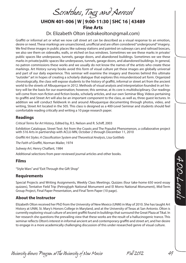*Scratches, Tags and Aerosol* **UHON 401-006 | W | 9:00-11:30 | SHC 16 | 43489 Fine Arts** Dr. Elizabeth Olton (edrakeolton@gmail.com)

Graffiti or informal art or what we now call street art can be described as a visual response to an emotion, desire or need. These markings are unsanctioned, unofficial and are often considered "underground" imagery. We find these images in public places like subway stations and painted on subways cars and railroad boxcars, we also see them on sidewalks, walls, or etched on bus windows. Sometimes we see these marks in private/ public spaces like underpasses, tunnels, garage doors, and abandoned buildings. Sometimes we see these marks in private/public spaces like underpasses, tunnels, garage doors, and abandoned buildings. In general, no patron commissions these works and we usually do not know the names of the artists who create these markings. Art History survey books avoid this form of visual culture yet these images are globally universal and part of our daily experience. This seminar will examine the imagery and theories behind this ultimate "outsider" art in hopes of creating a scholarly dialogue that explores this misunderstood art form. Organized chronologically, the class will expose students to the history of graffiti, informal or street art from the ancient world to the streets of Albuquerque in 2012. Methods of visual analysis and interpretation founded in art history will be the basis for our examination; however, this seminar, at its core is multidisciplinary. Our readings will come from non-fiction and fiction books, scholarly articles, and our own Seminar Blog. Videos pertaining to graffiti and Street Art will also be an important component to the class, as well as, three guest lectures. In addition we will conduct fieldwork in and around Albuquerque documenting through photos, video, and writing, Street Art located in the 505. This class is designed as a 400-Level Seminar and students should feel comfortable reading critically and writing a 10 page research paper.

#### **Readings**

*Critical Terms for Art History*, Edited by, R.S. Nelson and R. Schiff, 2003

Exhibition Catalogue, Street Text: Art from the Coasts and The Populist Phenomenon, a collaborative project with 516 Arts in partnership with ACLU-MN, October 2 through December 11, 2010

*Graffiti Art Styles: A Classification System and Theoretical Analysis*, Lisa Gottlieb

*The Faith of Graffiti*, Norman Mailer, 1974

*Subway Art*, Henry Chalfant, 1984

Additional selections from peer-reviewed journal articles and other books.

#### **Films**

"Style Wars" and "Exit Through the Gift Shop"

#### **Requirements**

Special Projects and Writing Assignments, Weekly Class Meetings. Quizzes (four take-home 650 word essay quizzes), Tentative Field Trip (Petroglyph National Monument and El Morro National Monument), Mid-Term Group Project, Final Paper Presentation, and Final Term Paper (10 page).

#### **About the Instructor**

Elizabeth Olton received her PhD from the University of New Mexico (UNM) in May of 2010. She has taught Art History at UNM, St. Mary's Honors College in Maryland, and at the University of Texas at San Antonio. Olton is currently exploring visual culture of ancient graffiti found in buildings that surround the Great Plaza at Tikal. In her research she questions the prevailing view that these works are the result of a hallucinogenic trance. This seminar reflects Olton's interest in informal ancient art and contemporary graffiti and street art, and her desire to engage in a more academically challenging discussion of this under researched genre of visual culture.

ADD-Levels *400-Levels*

*University Honors Program at The University of New Mexico Fall 2012 49*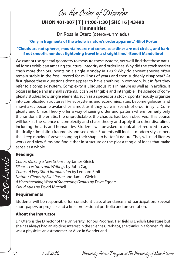*On the Order of Disorder*

# **UHON 401-007 | T | 11:00-1:30 | SHC 16 | 43490 Humanities** Dr. Rosalie Otero (otero@unm.edu)

**"Only in fragments of the whole is nature's order apparent." -Eliot Porter**

#### **"Clouds are not spheres, mountains are not cones, coastlines are not circles, and bark if not smooth, nor does lightening travel in a straight line." -Benoit Mandelbrot**

We cannot use general geometry to measure these systems, yet we'll find that these natural forms exhibit an amazing structural integrity and orderlines. Why did the stock market crash more than 500 points on a single Monday in 1987? Why do ancient species often remain stable in the fossil record for millions of years and then suddenly disappear? At first glance these questions don't appear to have anything in common, but in fact they refer to a complex system. Complexity is ubiquitous. It is in nature as well as in artifice. It occurs in large and in small systems. It can be tangible and intangible. The science of complexity studies how single elements, such as a species or a stock, spontaneously organize into complicated structures like ecosystems and economies; stars become galaxies, and snowflakes become avalanches almost as if they were in search of order in sync. Complexity and Chaos Theory offer a way of seeing order and pattern where formerly only the random, the erratic, the unpredictable, the chaotic had been observed. This course will look at the science of complexity and chaos theory and apply it to other disciplines including the arts and humanities. Students will be asked to look at art reduced to aesthetically stimulating fragments and see order. Students will look at modern skyscrapers that keep moving, forever changing their shape to better fit nature. They will read literary works and view films and find either in structure or the plot a tangle of ideas that make sense as a whole.

#### **Readings**

*Chaos: Making a New Science* by James Gleick *Silence: Lectures and Writings* by John Cage *Chaos: A Very Short Introduction* by Leonard Smith *Nature's Chaos by Eliot Porter* and James Gleick *A Heartbreaking Work of Staggering Genius* by Dave Eggers *Cloud Atlas* by David Mitchell

#### **Requirements**

Students will be responsible for consistent class attendance and participation. Several short papers or projects and a final professional portfolio and presentation.

#### **About the Instructor**

Dr. Otero is the Director of the University Honors Program. Her field is English Literature but she has always had an abiding interest in the sciences. Perhaps, she thinks in a former life she was a physicist, an astronomer, or Alice in Wonderland.

*50 Fall 2012 University Honors Program at The University of New Mexico*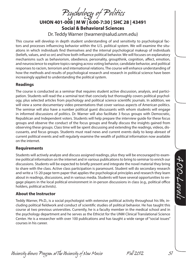*Psychology of Politics*

**UHON 401-008 | M W | 6:00-7:30 | SHC 28 | 43491 Social & Behavioral Sciences**

Dr. Teddy Warner (twarner@salud.unm.edu)

This course will develop in depth student understanding of and sensitivity to psychological factors and processes influencing behavior within the U.S. political system. We will examine the situations in which individuals find themselves and the internal psychological makeup of individuals (beliefs, values, and so on) and how both influence political behavior. We will focuses on explanatory mechanisms such as behaviorism, obedience, personality, groupthink, cognition, affect, emotion, and neuroscience to explore topics ranging across voting behavior, candidate behavior, and political responses to racism, terrorism and international relations. The course will enhance understanding of how the methods and results of psychological research and research in political science have been increasingly applied to understanding the political system.

#### **Readings**

The course is conducted as a seminar that requires student active discussion, analysis, and participation. Students will read the a seminal text that concisely but thoroughly covers political psychology, plus selected articles from psychology and political science scientific journals. In addition, we will view a some documentary video presentations that cover various aspects of American politics. The seminar will also have a number political guest discussants with whom students will engage in informed discussions of politics. Dr. Warner will also facilitate 3 focus groups with Democratic, Republican and Independent voters. Students will help prepare the interview guide for these focus groups and observe the conduct of the focus groups and finally discuss the insights gained from observing these groups. Class time will be spent discussing and extending the readings, videos, discussants, and focus groups. Students must read news and current events daily to keep abreast of current political events and will regularly examine the wealth of political information now available on the internet.

#### **Requirements**

Students will actively analyze and discuss assigned readings, plus they will be encouraged to examine political information on the internet and in various publications to bring to seminar to enrich our discussions. Students will be expected to briefly present and integrate the novel material they bring to share with the class. Active class participation is paramount. Student will do secondary research and write a 15-20 page term paper that applies the psychological principles and research they learn about in readings, discussions, and in various media. Students will have several opportunities to engage players in the local political environment in in-person discussions in class (e.g., political office holders, political activists).

#### **About the Instructor**

Teddy Warner, Ph.D., is a social psychologist with extensive political activity throughout his life, including political fieldwork and conduct of scientific studies of political behavior. He has taught this course at two previous universities. Currently, he is a faculty member in the medical school and in the psychology department and he serves as the Ethicist for the UNM Clinical Translational Science Center. He is a researcher with over 100 publications and has taught a wide range of "social issues" courses in his career.

*University Honors Program at The University of New Mexico Fall 2012 51*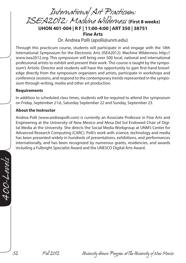*International Art Practicum: ISEA2012: Machine Wilderness* **(First 8 weeks) UHON 401-004 | R F | 11:00-4:00 | ART 350 | 38751 Fine Arts**

Dr. Andrea Polli (apolli@unm.edu)

Through this practicum course, students will participate in and engage with the 18th International Symposium for the Electronic Arts (ISEA2012): Machine Wilderness http:// www.isea2012.org. This symposium will bring over 500 local, national and international professional artists to exhibit and present their work. This course is taught by the symposium's Artistic Director and students will have the opportunity to gain first-hand knowledge directly from the symposium organizers and artists, participate in workshops and conference sessions, and respond to the contemporary trends represented in the symposium through writing, media and other art production.

#### **Requirements**

In addition to scheduled class times, students will be required to attend the symposium on Friday, September 21st, Saturday September 22 and Sunday, September 23.

#### **About the Instructor**

Andrea Polli (www.andreapolli.com) is currently an Associate Professor in Fine Arts and Engineering at the University of New Mexico and Mesa Del Sol Endowed Chair of Digital Media at the University. She directs the Social Media Workgroup at UNM's Center for Advanced Research Computing (CARC). Polli's work with science, technology and media has been presented widely in hundreds of presentations, exhibitions, and performances internationally, and has been recognized by numerous grants, residencies, and awards including a Fulbright Specialist Award and the UNESCO Digital Arts Award.

*52 Fall 2012 University Honors Program at The University of New Mexico*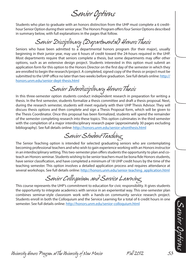*Senior Options*

Students who plan to graduate with an honors distinction from the UHP must complete a 6 credithour Senior Option during their senior year. The Honors Program offers four Senior Options described in summary below, with full explanations in the pages that follow.

# *Senior Disciplinary (Departmental) Honors Thesis*

Seniors who have been admitted to a departmental honors program (for their major), usually beginning in their junior year, may use 6 hours of credit toward the 24-hours required in the UHP. Most departments require that seniors complete a thesis, but some departments may offer other options, such as an extensive design project. Students interested in this option must submit an application form for this option to the Honors Director on the first day of the semester in which they are enrolled to begin the research/project. A completed, signed copy of the thesis or project must be submitted to the UHP office no later than two weeks before graduation. See full details online: http:// honors.unm.edu/senior-dept-thesis.html

*Senior Interdisciplinary Honors Thesis*

In this three-semester option students conduct independent research in preparation for writing a thesis. In the first semester, students formalize a thesis committee and draft a thesis proposal. Next, during the research semester, students will meet regularly with their UHP Thesis Advisor. They will discuss thesis options and then complete and sign a Thesis Proposal form, which will be given to the Thesis Coordinator. Once this proposal has been formalized, students will spend the remainder of the semester completing research into these topics. This option culminates in the third semester with the completion of a major interdisciplinary research paper (approximately 30 pages excluding bibliography). See full details online: http://honors.unm.edu/senior-uhonthesis.html

*Senior Student Teaching*

The Senior Teaching option is intended for selected graduating seniors who are contemplating becoming professional teachers and who wish to gain experience working with an Honors instructor in an interdisciplinary setting. This two-semester plan offers students the opportunity to plan and coteach an Honors seminar. Students wishing to be senior teachers must be bona fide Honors students, have senior classification, and have completed a minimum of 18 UHP credit hours by the time of the teaching semester. This option involves a detailed application process and requires attendance at several workshops. See full details online: http://honors.unm.edu/senior-teaching\_application.html

*Senior Colloquium and Service Learning*

This course represents the UHP's commitment to education for civic responsibility. It gives students the opportunity to integrate academics with service in an experiential way. This one-semester plan combines seminar-style classroom work with a hands-on community service research project. Students enroll in both the Colloquium and the Service Learning for a total of 6 credit hours in one semester. See full details online: http://honors.unm.edu/senior-colloquium.html

*University Honors Program at The University of New Mexico Fall 2012 53*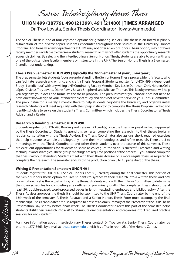# *Senior Interdisciplinary Honors Thesis*

# **UHON 499 (38779), 490 (21399), 491 (21400) | TIMES ARRANGED** Dr. Troy Lovata, Senior Thesis Coordinator (lovata@unm.edu)

The Senior Thesis is one of four capstone options for graduating seniors. The thesis is an interdisciplinary culmination of the diverse topics students encounter throughout their studies in the University Honors Program. Additionally, a few departments at UNM may not offer a Senior Honors Thesis option, may not have faculty members available to oversee a student's research or may not offer students the opportunity research across disciplines. By selecting the interdisciplinary Senior Honors Thesis, students are able to work with any one of the outstanding faculty members or instructors in the UHP. The Senior Honors Thesis is a 3-semester, 7-credit hour undertaking.

#### **Thesis Prep Semester: UHON 499 (Typically the 2nd Semester of your junior year.)**

The prep semester lets students focus on understanding the Senior Honors Thesis process, identify faculty who can facilitate research and writing, and craft a Thesis Proposal. Students register for UHON 499 Independent Study (1 credit hour) with any willing UHP Continuing Faculty Member: Drs. Leslie Donovan, Chris Holden, Celia López-Chávez, Troy Lovata, Diane Rawls, Ursula Shepherd, and Michael Thomas. This faculty member will help you organize your ideas and formalize the thesis proposal. The prep instructor you choose does not need to have direct knowledge of your intended topic of study and does not have to serve on your Thesis Committee. The prep instructor is merely a mentor there to help students negotiate the University and organize initial research. Students will meet regularly with their prep instructor to complete the Thesis Proposal Packet and identify scholars to serve on the student's Thesis Committee, which includes the Thesis Coordinator, a Thesis Advisor and a Reader.

#### **Research & Reading Semester: UHON 490**

Students register for UHON 490 Reading and Research (3 credits) once the Thesis Proposal Packet is approved by the Thesis Coordinator. Students spend this semester completing the research into their theses topics in regular consultation with the Thesis Advisor. The Thesis Coordinator also assigns short, required exercises that help students assemble a bibliography, hone their methodologies, and refine research. There are 3 to 4 meetings with the Thesis Coordinator and other thesis students over the course of this semester. These are excellent opportunities for students to share as colleagues the various successful research and writing techniques and strategies. These group meetings are required portions of the process—you cannot complete the thesis without attending. Students meet with their Thesis Advisor on a more regular basis as required to complete their research. The semester ends with the production of an 8 to 10 page draft of the thesis.

#### **Writing & Presentation Semester: UHON 491**

Students register for UHON 491 Senior Honors Thesis (3 credits) during the final semester. This portion of the Senior Honors Thesis option requires students to synthesize their research into a written thesis and oral presentation. First is the actual writing of the thesis. Students work with their Thesis Committee to determine their own schedules for completing any outlines or preliminary drafts. The completed thesis should be at least 30, double-spaced, word-processed pages in length (excluding endnotes and bibliography). After the Thesis Advisor approves the thesis it should be submitted to the UHP Thesis Coordinator by the end of the 13th week of the semester. A Thesis Abstract and a Senior Honors Thesis Form must accompany the final manuscript. Thesis candidates are also required to present an oral summary of their research at the UHP Thesis Presentation Day shortly before finals week. The Thesis Coordinator directs this part of the semester, helps students distill their research into a 20 to 30-minute oral presentation, and organizes 2 to 3 required practice sessions for each student.

For more information about Interdisciplinary Theses contact Dr. Troy Lovata, Senior Thesis Coordinator, by phone at 277-3663, by e-mail at **lovata@unm.edu** or visit his office in room 2B of the Honors Center.

*54 Fall 2012 University Honors Program at The University of New Mexico*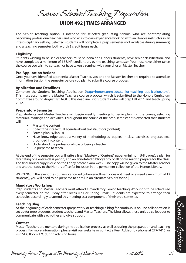*Senior Student Teaching Preparation* **UHON 492 | TIMES ARRANGED**

The Senior Teaching option is intended for selected graduating seniors who are contemplating becoming professional teachers and who wish to gain experience working with an Honors instructor in an interdisciplinary setting. Selected students will complete a prep semester (not available during summers) and a teaching semester, both worth 3 credit hours each.

#### **Eligibility**

Students wishing to be senior teachers must be bona fide Honors students, have senior classification, and have completed a minimum of 18 UHP credit hours by the teaching semester. You must have either taken the course you wish to co-teach or have taken a seminar with your chosen Master Teacher.

#### **Pre-Application Actions**

Once you have identified a potential Master Teacher, you and the Master Teacher are required to attend an Information Session the semester before you plan to submit a course proposal.

#### **Application and Deadlines**

Complete the Student Teaching Application (http://honors.unm.edu/senior-teaching\_application.html). This must accompany the Master Teacher's course proposal, which is submitted to the Honors Curriculum Committee around August 1st. NOTE: This deadline is for students who will prep Fall 2011 and teach Spring 2012.

#### **Preparatory Semester**

Prep students and Master Teachers will begin weekly meetings to begin planning the course, selecting materials, readings and activities. Throughout the course of the prep-semester it is expected that students will:

- Master the content
- Collect the intellectual agenda about texts/authors (content)
- Form a plan (syllabus)
- Have knowledge about a variety of methodologies, papers, in-class exercises, projects, etc., grounded in content
- Understand the professional role of being a teacher
- Be prepared to teach

At the end of the semester you will write a final "Mastery of Content" paper (minimum 5-8 pages), a plan for facilitating one entire class period, and an annotated bibliography of all books read to prepare for the class. The final bound copy is due on the Friday before exam week. One copy will be given to the Master Teacher and another copy to the Honors office for inclusion in the permanent collection of the Honors Library.

WARNING: In the event the course is cancelled (when enrollment does not meet or exceed a minimum of 12 students), you will need to be prepared to enroll in an alternate Senior Option.)

#### **Mandatory Workshop**

Prep students and Master Teachers must attend a mandatory Senior Teaching Workshop to be scheduled every semester on the Friday after break (Fall or Spring Break). Students are expected to arrange their schedules accordingly to attend this meeting as a component of their prep semester.

#### **Teaching Blog**

At the beginning of each semester (preparatory or teaching) a blog for continuous on-line collaboration is set up for prep-students, student teachers, and Master Teachers. The blog allows these unique colleagues to communicate with each other and give support.

#### **Contact**

Master Teachers are mentors during the application process, as well as during the preparation and teaching process. For more information, please visit our website or contact a Peer Advisor by phone at 277-7415, or visit SHC Room 17C during advising hours.

*University Honors Program at The University of New Mexico Fall 2012 55*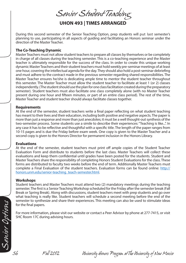*Senior Student Teaching* **UHON 493 | TIMES ARRANGED**

During this second semester of the Senior Teaching Option, prep students will put last semester's planning to use, participating in all aspects of guiding and facilitating an Honors seminar under the direction of the Master Teacher.

#### **The Co-Teaching Dynamic**

Master Teachers must not allow student teachers to prepare all classes by themselves or be completely in charge of all classes during the teaching semester. This is a co-teaching experience and the Master teacher is ultimately responsible for the success of the class. In order to create this unique working dynamic Master Teachers and their student teachers must hold weekly pre-seminar meetings of at least one hour, covering the intellectual agenda for the day. They should also hold a post-seminar debriefing and must adhere to the contract made in the previous semester regarding shared responsibilities. The Master Teacher ensures he/she is dedicating ample time to mentor the student teacher throughout this semester. The Master Teacher must allow the student teacher to facilitate at least 1 (or 2) classes independently. (The student should use the plan for one class facilitation created during the preparatory semester). Student teachers must also facilitate one class completely alone (with no Master Teacher present during one hour and fifteen minutes, or part of an entire class period). The rest of the time, Master Teacher and student teacher should always facilitate classes together.

#### **Requirements**

At the end of the semester, student teachers write a final paper reflecting on what student teaching has meant to their lives and their education, including both positive and negative aspects. The paper is more than just a response and more than just anecdotes; it must be a well thought-out synthesis of the two-semester process. Some students use a simile to describe their experiences: "Teaching is like...". In any case it has to be reflective and thoughtful with a specific title. The length of the paper ranges from 10-15 pages and is due the Friday before exam week. One copy is given to the Master Teacher and a second copy is given to the Honors Director for permanent inclusion in the Honors Library.

#### **Evaluations**

At the end of the semester, student teachers must print off ample copies of the Student Teacher Evaluation Form and distribute to students before the last class. Master Teachers will collect these evaluations and keep them confidential until grades have been posted for the students. Student and Master Teachers share the responsibility of completing Honors Student Evaluations for the class. These forms are distributed to faculty two weeks before the end of term. Additionally Master Teachers must complete a Final Evaluation of the student teachers. Evaluation forms can be found online: http:// honors.unm.edu/senior-teaching\_teach-semester.html.

#### **Workshops**

Student teachers and Master Teachers must attend two (2) mandatory meetings during the teaching semester. The first is a Senior Teaching Workshop scheduled for the Friday after the semester break (Fall Break or Spring Break). Along with discussions, student teachers meet with prep students and go over what teaching is really like. Student teachers will schedule a second meeting before the end of the semester to synthesize and share their experiences. This meeting can also be used to stimulate ideas for the final papers.

For more information, please visit our website or contact a Peer Advisor by phone at 277-7415, or visit SHC Room 17C during advising hours.

*56 Fall 2012 University Honors Program at The University of New Mexico*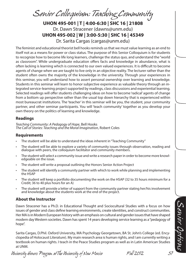*Senior Colloquium: Teaching Community*

**UHON 495-001 | T | 4:00-6:30 | SHC 16 | 21808** Dr. Dawn Stracener (dawns@unm.edu) **UHON 495-002 | W | 3:00-5:30 | SHC 16 | 45349** Dr. Sarita Cargas (cargas@unm.edu)

The feminist and educational theorist bell hooks reminds us that we must value learning as an end to itself not as a means for power or class status. The purpose of this Senior Colloquium is for students to recognize how to become life long learners, challenge the status quo, and understand the "world as classroom". While undergraduate education offers facts and knowledge in abundance, what is often lacking is learning which is connected to our own valued experiences. It is difficult to become agents of change when we are taught to live only in an objective reality. The lecturer rather than the student often owns the majority of the knowledge in the university. Through your experiences in this seminar, you will understand how to assert personal ownership over learning and knowledge. Students in this seminar will learn to honor subjective experience as valuable theory through an integrated service-learning project supported by readings, class discussions and experiential learning. Selected readings will offer students challenging ideas on how to become 'radical' agents of change from a bottom up perspective rather than the usual top down hierarchy that is experienced within most bureaucrat institutions. The 'teacher' in this seminar will be you, the student, your community partner, and other seminar participants. You will 'teach community' together as you develop your own theory on the politics of learning and knowledge.

#### **Readings**

*Teaching Community: A Pedagogy of Hope*, Bell Hooks *The Call of Stories: Teaching and the Moral Imagination*, Robert Coles

#### **Requirements**

- The student will be able to understand the ideas inherent in "Teaching Community"
- The student will be able to explore a variety of community issues through observation, reading and dialogue with peers, the colloquium facilitator and community members.
- The student will select a community issue and write a research paper in order to become more knowledgeable on the issue.
- The student will write a proposal outlining the Honors Senior Action Project
- The student will identify a community partner with which to work while planning and implementing the HSAP
- The student will keep a portfolio documenting the work on the HSAP (32 to 35 hours minimum for a Credit; 36 to 40 plus hours for an A)
- The student will provide a letter of support from the community partner stating her/his involvement and knowledge about the students work at the end of the project.

#### **About the Instructor**

Dawn Stracener has a Ph.D. in Educational Thought and Sociocultural Studies with a focus on how issues of gender and class define learning environments, create identities, and construct communities. Her MA is in Modern European history with an emphasis on cultural and gender issues that have shaped modern day Western societies. Dawn has spent 14 years developing service learning as a "pedagogy of hope".

Sarita Cargas, D.Phil. Oxford University, MA Psychology Georgetown, BA St. John's College (ed. Encyclopedia of Holocaust Literature). My main research area is human rights, and I am currently writing a textbook on human rights. I teach in the Peace Studies program as well as in Latin American Studies at UNM.

*University Honors Program at The University of New Mexico Fall 2012 57*

*Senior Options*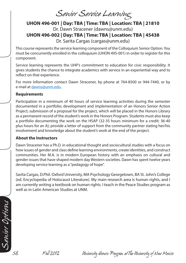*Senior Service Learning*

**UHON 496-001 | Day: TBA | Time: TBA | Location: TBA | 21810** Dr. Dawn Stracener (dawns@unm.edu) **UHON 496-002 | Day: TBA | Time: TBA | Location: TBA | 45438** Dr. Sarita Cargas (cargas@unm.edu)

This course represents the service learning component of the Colloquium Senior Option. You must be concurrently enrolled in the colloquium (UHON 495-001) in order to register for this component.

Service learning represents the UHP's commitment to education for civic responsibility. It gives students the chance to integrate academics with service in an experiential way and to reflect on that experience.

For more information contact Dawn Stracener, by phone at 764-8500 or 944-7440, or by e-mail at dawns@unm.edu.

#### **Requirements**

Participation in a minimum of 40 hours of service learning activities during the semester documented in a portfolio; development and implementation of an Honors Senior Action Project; submission of a proposal for the project, which will be placed in the Honors Library as a permanent record of the student's work in the Honors Program. Students must also keep a portfolio documenting the work on the HSAP (32-35 hours minimum for a credit; 36-40 plus hours for an A); provide a letter of support from the community partner stating her/his involvement and knowledge about the student's work at the end of the project.

#### **About the Instructors**

Dawn Stracener has a Ph.D. in educational thought and sociocultural studies with a focus on how issues of gender and class define learning environments, create identities, and construct communities. Her M.A. is in modern European history with an emphasis on cultural and gender issues that have shaped modern day Western societies. Dawn has spent twelve years developing service learning as a "pedagogy of hope".

Sarita Cargas, D.Phil. Oxford University, MA Psychology Georgetown, BA St. John's College (ed. Encyclopedia of Holocaust Literature). My main research area is human rights, and I am currently writing a textbook on human rights. I teach in the Peace Studies program as well as in Latin American Studies at UNM.

*Senior Options*

*58 Fall 2012 University Honors Program at The University of New Mexico*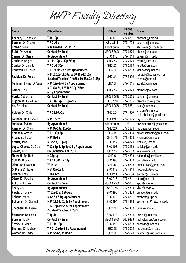|  | UHP Faculty Directory |
|--|-----------------------|
|  |                       |

| <b>Name</b>               | <b>Office Hours</b>                        | <b>Office</b>      | Phone         | E-mail                   |  |
|---------------------------|--------------------------------------------|--------------------|---------------|--------------------------|--|
|                           |                                            |                    | <b>Number</b> |                          |  |
| Ascherl, Dr. Andrew       | T 9a-12p                                   | SHC 17A            | 277-4351      | aascherl@unm.edu         |  |
| Berman, Dr. Shawn         | $TR 2p-3p$                                 | <b>ASM 2114</b>    | 277-1792      | sberman@unm.edu          |  |
| Brewer, Steve             | M 8:30a-10a, 12:30p-1p                     | <b>UHP Forum</b>   | n/a           | abqbrewer@gmail.com      |  |
| Bubb, Dr. Adam            | <b>Contact By Email</b>                    | MSC06 3690         | 277-6374      | abubb@unm.edu            |  |
| Cargas, Dr. Sarita        | By Appointment                             | SHC <sub>11B</sub> | 277-4314      | cargas@unm.edu           |  |
| Corritore, Regina         | M 11a-12p, 2:30p-3:30p                     | SHC <sub>2C</sub>  | 277-2170      | rcorrit@unm.edu          |  |
| Cunico, Dr. Juliette      | T R 2p-3:30p                               | SHC <sub>2C</sub>  | 277-2170      | juliette@unm.edu         |  |
| Donovan, Dr. Leslie       | T R 12:30p-2p & By Appointment             | <b>SHC 20</b>      | 277-4313      | Idonovan@unm.edu         |  |
| Faubion, Dr. Renee        | M F 10:10a-11:10a, W 10:10a-12:10p         | SHC <sub>2A</sub>  | 277-3695      | renfaub@hotmail.com or   |  |
|                           | (Student Teacher) R 9:30a-10:45a, 3p-3:45p |                    |               | sanren@unm.edu           |  |
| Feldstein Ewing, Dr.Sarah | M W 12p-1p & By Appointment                | SHC <sub>2F</sub>  | 277-4315      | swfeld@unm.edu           |  |
| Fornell, Paul             | M 7:30a-8a, T W R 6:30p-7:30p              | SHC <sub>2C</sub>  | 277-2170      | pfornell@aol.com         |  |
|                           | & By Appointment                           |                    |               |                          |  |
| Harris, Catherine         | <b>Contact By Email</b>                    | MSC04 2560         | 277-2903      | cphunm@unm.edu           |  |
| Higdon, Dr. David Leon    | T R 11a-12p, 1:15p-2:15                    | SHC 17B            | 277-4305      | dleonhigdon@q.com        |  |
| Ho, Szu-Han               | <b>Contact By Email</b>                    | MSC04 2560         | 277-5861      | szho@unm.edu             |  |
| Holden, Dr. Chris         |                                            | SHC <sub>2D</sub>  | 277-4306      | cholden@unm.edu          |  |
|                           | T R 12:30p-2p                              |                    |               | chris.l.holden@gmail.com |  |
| Johnson, Dr. Lizabeth     | M W 1p-2p                                  | SHC <sub>2A</sub>  | 277-3695      | lizjohnson@unm.edu       |  |
| Johnson, Patrick          | <b>By Appointment</b>                      | <b>UHP Forum</b>   | n/a           | newmexicokid@gmail.com   |  |
| Karmiol, Dr. Sheri        | M W 9a-10a, 11a-1p                         | SHC <sub>2G</sub>  | 277-3634      | metzger@unm.edu          |  |
| Ketcham, Amaris           | T R 1:30p-3p                               | <b>SHC 18</b>      | 277-7404      | amarisketcham@gmail.com  |  |
| Kikendall, Stacey         | M W 8a-9a                                  | SHC 17B            | 277-4305      | kikendal@unm.edu         |  |
| Kottler, Jona             | M 3p-5p, T 3p-5p                           | SHC <sub>11A</sub> | 277-4320      | jkottler@unm.edu         |  |
| Lopez-Chavez, Dr. Celia   | T 11a-1p, R 3p-5p & By Appointment         | SHC 19B            | 277-2169      | celialop@unm.edu         |  |
| Lovata, Troy              | On Sabbatical Fall 2012                    | UHP 2B             | 277-3663      | lovata@unm.edu           |  |
| Meredith, Dr. Ruth        | M 12p-1p                                   | SHC <sub>6</sub>   | 277-4303      | ruthmrdth@gmail.com      |  |
| Noll, Dr. Bruce           | T R 11:30A-12:30p                          | SHC 19C            | 277-7406      | banoll@unm.edu           |  |
| Olton, Dr. Elizabeth      | W 1p-3p                                    | SHC <sub>6</sub>   | 277-4303      | edrakeolton@gmail.com    |  |
| O' Malia, Dr. Edwin       | M 3:30p-5:30p                              | SHC 11B            | 277-4314      | nedomalia@yahoo          |  |
| Orzech, Emily             | T 10a-12p                                  | SHC 2G             | 277-3634      | eorzech@unm.edu          |  |
| Otero, Dr. Rosalie        | By Appointment                             | SHC 21B            | 277-4211      | otero@unm.edu            |  |
| Polli, Dr. Andrea         | <b>Contact By Email</b>                    | MSC04 2560         | 277-5861      | apolli@unm.edu           |  |
| Price, V.B.               | By Appointment                             | SHC 17B            | 277-4305      | vbp@swcp.com             |  |
| Rawls, Dr. Diane          | W 10a-12p, 2:30p-3p                        | SHC 19C            | 277-7406      | dnrawls@unm.edu          |  |
| Roberts, Marc             | M 4p-5p & By Appointment                   | SHC 17A            | 277-4351      | mroberts@rrps.net        |  |
| Schuman, Dr. Samuel       | M W 12:30p-2p & By Appointment             | SHC 19A            | 277-4396      | sschuman@ret.unca.edu    |  |
|                           | T 12:15p-1:15p & By Appointment            |                    |               |                          |  |
| Shepherd, Dr. Ursula      | (Student Teacher) R 2p-3p                  | <b>SHC 30</b>      | 277-7408      | ursula@unm.edu           |  |
| Stracener, Dr. Dawn       | T 3p-4p                                    | SHC 11B            | 277-4314      | dawns@unm.edu            |  |
| Sturges, Molly            | <b>Contact By Email</b>                    | MSC04 2560         | 660-9473      | mollysturges@gmail.com   |  |
| Szasz, Dr. Maria          | T R 11a-12p                                | SHC 11A            | 277-4303      | deschild@unm.edu         |  |
| Thomas, Dr. Michael       | T R 1:15p-3p & By Appointment              | SHC 2E             | 277-3662      | mthomas@unm.edu          |  |
| Warner, Dr. Teddy         | M W 5p-6p, 7:30p-8p                        | <b>SHC 28</b>      | 272-5574      | twarner@salud.unm.edu    |  |

*University Honors Program at The University of New Mexico*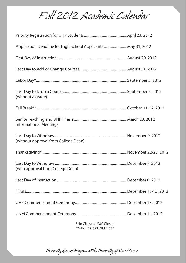*Fall 2012 Academic Calendar*

| Application Deadline for High School Applicants  May 31, 2012 |  |
|---------------------------------------------------------------|--|
|                                                               |  |
|                                                               |  |
|                                                               |  |
| (without a grade)                                             |  |
|                                                               |  |
| <b>Informational Meetings</b>                                 |  |
| (without approval from College Dean)                          |  |
|                                                               |  |
| (with approval from College Dean)                             |  |
|                                                               |  |
|                                                               |  |
|                                                               |  |
|                                                               |  |

 \*No Classes/UNM Closed \*\*No Classes/UNM Open

*University Honors Program at The University of New Mexico*